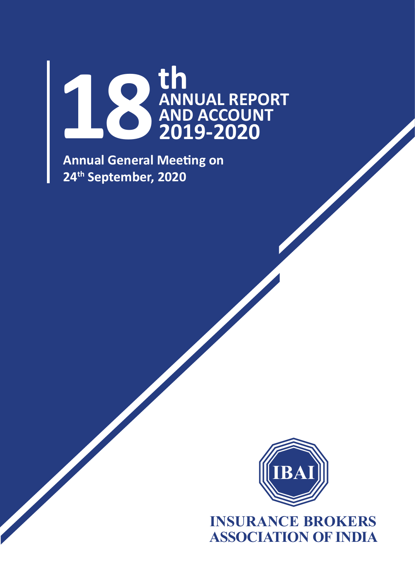

**Annual General Meeting on 24th September, 2020**



**INSURANCE BROKERS ASSOCIATION OF INDIA**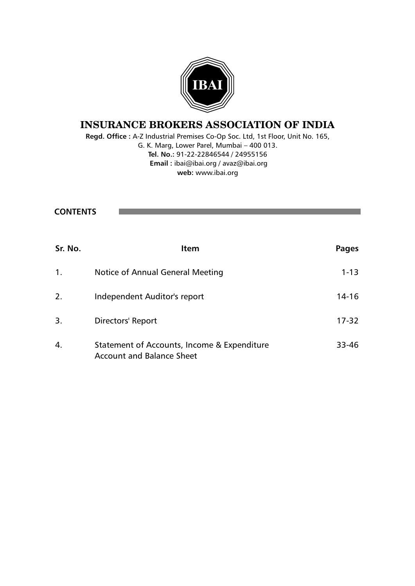

# **INSURANCE BROKERS ASSOCIATION OF INDIA**

**Regd. Office :** A-Z Industrial Premises Co-Op Soc. Ltd, 1st Floor, Unit No. 165, G. K. Marg, Lower Parel, Mumbai – 400 013. **Tel. No.:** 91-22-22846544 / 24955156  **Email :** ibai@ibai.org / avaz@ibai.org **web:** www.ibai.org

**CONTENTS**

| Sr. No. | <b>Item</b>                                                                     | Pages     |
|---------|---------------------------------------------------------------------------------|-----------|
| 1.      | Notice of Annual General Meeting                                                | $1 - 13$  |
| 2.      | Independent Auditor's report                                                    | $14 - 16$ |
| 3.      | Directors' Report                                                               | $17 - 32$ |
| 4.      | Statement of Accounts, Income & Expenditure<br><b>Account and Balance Sheet</b> | $33 - 46$ |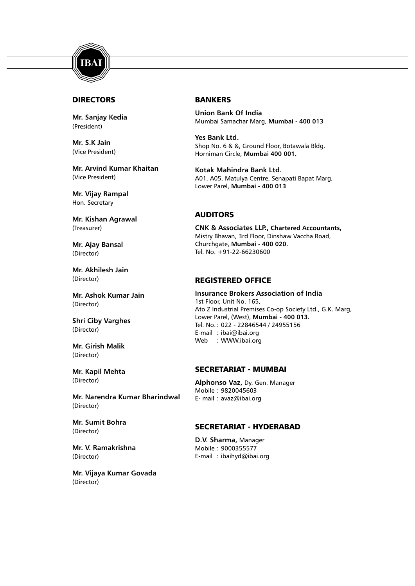

# DIRECTORS

**Mr. Sanjay Kedia** (President)

**Mr. S.K Jain** (Vice President)

**Mr. Arvind Kumar Khaitan** (Vice President)

**Mr. Vijay Rampal** Hon. Secretary

**Mr. Kishan Agrawal** (Treasurer)

**Mr. Ajay Bansal** (Director)

**Mr. Akhilesh Jain** (Director)

**Mr. Ashok Kumar Jain** (Director)

**Shri Ciby Varghes** (Director)

**Mr. Girish Malik** (Director)

**Mr. Kapil Mehta** (Director)

**Mr. Narendra Kumar Bharindwal** (Director)

**Mr. Sumit Bohra** (Director)

**Mr. V. Ramakrishna** (Director)

**Mr. Vijaya Kumar Govada** (Director)

#### BANKERS

**Union Bank Of India** Mumbai Samachar Marg, **Mumbai - 400 013**

**Yes Bank Ltd.** Shop No. 6 & &, Ground Floor, Botawala Bldg. Horniman Circle, **Mumbai 400 001.**

**Kotak Mahindra Bank Ltd.** A01, A05, Matulya Centre, Senapati Bapat Marg, Lower Parel, **Mumbai - 400 013**

#### AUDITORS

**CNK & Associates LLP., Chartered Accountants,** Mistry Bhavan, 3rd Floor, Dinshaw Vaccha Road, Churchgate, **Mumbai - 400 020.** Tel. No. +91-22-66230600

### REGISTERED OFFICE

**Insurance Brokers Association of India** 1st Floor, Unit No. 165, Ato Z Industrial Premises Co-op Society Ltd., G.K. Marg, Lower Parel, (West), **Mumbai - 400 013.** Tel. No.: 022 - 22846544 / 24955156 E-mail : ibai@ibai.org Web : WWW.ibai.org

#### SECRETARIAT - MUMBAI

**Alphonso Vaz,** Dy. Gen. Manager Mobile : 9820045603 E- mail : avaz@ibai.org

#### SECRETARIAT - HYDERABAD

**D.V. Sharma,** Manager Mobile : 9000355577 E-mail : ibaihyd@ibai.org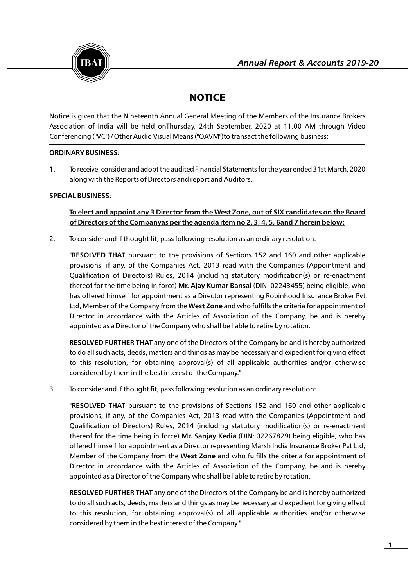

# **NOTICE**

Notice is given that the Nineteenth Annual General Meeting of the Members of the Insurance Brokers Association of India will be held onThursday, 24th September, 2020 at 11.00 AM through Video Conferencing ("VC") / Other Audio Visual Means ("OAVM")to transact the following business:

# **ORDINARY BUSINESS:**

1. To receive, consider and adopt the audited Financial Statements for the year ended 31st March, 2020 along with the Reports of Directors and report and Auditors.

# **SPECIAL BUSINESS:**

**To elect and appoint any 3 Director from the West Zone, out of SIX candidates on the Board of Directors of the Companyas per the agenda item no 2, 3, 4, 5, 6and 7 herein below:**

2. To consider and if thought fit, pass following resolution as an ordinary resolution:

**"RESOLVED THAT** pursuant to the provisions of Sections 152 and 160 and other applicable provisions, if any, of the Companies Act, 2013 read with the Companies (Appointment and Qualification of Directors) Rules, 2014 (including statutory modification(s) or re-enactment thereof for the time being in force) **Mr. Ajay Kumar Bansal** (DIN: 02243455) being eligible, who has offered himself for appointment as a Director representing Robinhood Insurance Broker Pvt Ltd, Member of the Company from the **West Zone** and who fulfills the criteria for appointment of Director in accordance with the Articles of Association of the Company, be and is hereby appointed as a Director of the Company who shall be liable to retire by rotation.

**RESOLVED FURTHER THAT** any one of the Directors of the Company be and is hereby authorized to do all such acts, deeds, matters and things as may be necessary and expedient for giving effect to this resolution, for obtaining approval(s) of all applicable authorities and/or otherwise considered by them in the best interest of the Company."

3. To consider and if thought fit, pass following resolution as an ordinary resolution:

**"RESOLVED THAT** pursuant to the provisions of Sections 152 and 160 and other applicable provisions, if any, of the Companies Act, 2013 read with the Companies (Appointment and Qualification of Directors) Rules, 2014 (including statutory modification(s) or re-enactment thereof for the time being in force) **Mr. Sanjay Kedia** (DIN: 02267829) being eligible, who has offered himself for appointment as a Director representing Marsh India Insurance Broker Pvt Ltd, Member of the Company from the **West Zone** and who fulfills the criteria for appointment of Director in accordance with the Articles of Association of the Company, be and is hereby appointed as a Director of the Company who shall be liable to retire by rotation.

**RESOLVED FURTHER THAT** any one of the Directors of the Company be and is hereby authorized to do all such acts, deeds, matters and things as may be necessary and expedient for giving effect to this resolution, for obtaining approval(s) of all applicable authorities and/or otherwise considered by them in the best interest of the Company."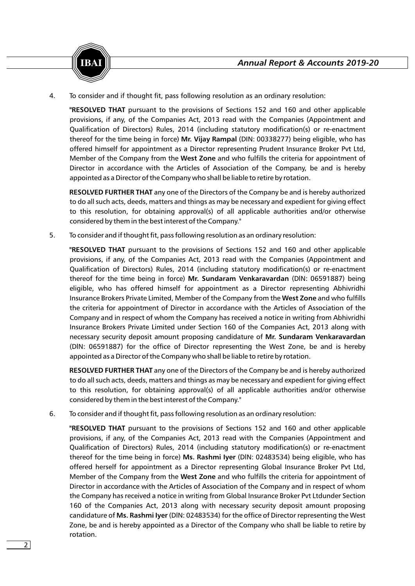

4. To consider and if thought fit, pass following resolution as an ordinary resolution:

**"RESOLVED THAT** pursuant to the provisions of Sections 152 and 160 and other applicable provisions, if any, of the Companies Act, 2013 read with the Companies (Appointment and Qualification of Directors) Rules, 2014 (including statutory modification(s) or re-enactment thereof for the time being in force) **Mr. Vijay Rampal** (DIN: 00338277) being eligible, who has offered himself for appointment as a Director representing Prudent Insurance Broker Pvt Ltd, Member of the Company from the **West Zone** and who fulfills the criteria for appointment of Director in accordance with the Articles of Association of the Company, be and is hereby appointed as a Director of the Company who shall be liable to retire by rotation.

**RESOLVED FURTHER THAT** any one of the Directors of the Company be and is hereby authorized to do all such acts, deeds, matters and things as may be necessary and expedient for giving effect to this resolution, for obtaining approval(s) of all applicable authorities and/or otherwise considered by them in the best interest of the Company."

5. To consider and if thought fit, pass following resolution as an ordinary resolution:

**"RESOLVED THAT** pursuant to the provisions of Sections 152 and 160 and other applicable provisions, if any, of the Companies Act, 2013 read with the Companies (Appointment and Qualification of Directors) Rules, 2014 (including statutory modification(s) or re-enactment thereof for the time being in force) **Mr. Sundaram Venkaravardan** (DlN: 06591887) being eligible, who has offered himself for appointment as a Director representing Abhivridhi Insurance Brokers Private Limited, Member of the Company from the **West Zone** and who fulfills the criteria for appointment of Director in accordance with the Articles of Association of the Company and in respect of whom the Company has received a notice in writing from Abhivridhi Insurance Brokers Private Limited under Section 160 of the Companies Act, 2013 along with necessary security deposit amount proposing candidature of **Mr. Sundaram Venkaravardan**  (DlN: 06591887) for the office of Director representing the West Zone, be and is hereby appointed as a Director of the Company who shall be liable to retire by rotation.

**RESOLVED FURTHER THAT** any one of the Directors of the Company be and is hereby authorized to do all such acts, deeds, matters and things as may be necessary and expedient for giving effect to this resolution, for obtaining approval(s) of all applicable authorities and/or otherwise considered by them in the best interest of the Company."

6. To consider and if thought fit, pass following resolution as an ordinary resolution:

**"RESOLVED THAT** pursuant to the provisions of Sections 152 and 160 and other applicable provisions, if any, of the Companies Act, 2013 read with the Companies (Appointment and Qualification of Directors) Rules, 2014 (including statutory modification(s) or re-enactment thereof for the time being in force) **Ms. Rashmi Iyer** (DlN: 02483534) being eligible, who has offered herself for appointment as a Director representing Global Insurance Broker Pvt Ltd, Member of the Company from the **West Zone** and who fulfills the criteria for appointment of Director in accordance with the Articles of Association of the Company and in respect of whom the Company has received a notice in writing from Global Insurance Broker Pvt Ltdunder Section 160 of the Companies Act, 2013 along with necessary security deposit amount proposing candidature of **Ms. Rashmi Iyer** (DlN: 02483534) for the office of Director representing the West Zone, be and is hereby appointed as a Director of the Company who shall be liable to retire by rotation.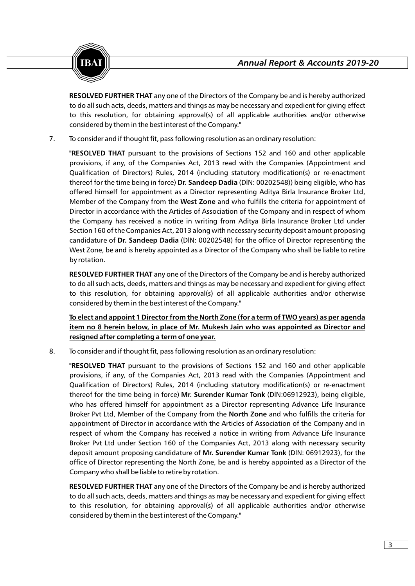

**RESOLVED FURTHER THAT** any one of the Directors of the Company be and is hereby authorized to do all such acts, deeds, matters and things as may be necessary and expedient for giving effect to this resolution, for obtaining approval(s) of all applicable authorities and/or otherwise considered by them in the best interest of the Company."

7. To consider and if thought fit, pass following resolution as an ordinary resolution:

**"RESOLVED THAT** pursuant to the provisions of Sections 152 and 160 and other applicable provisions, if any, of the Companies Act, 2013 read with the Companies (Appointment and Qualification of Directors) Rules, 2014 (including statutory modification(s) or re-enactment thereof for the time being in force) **Dr. Sandeep Dadia** (DlN: 00202548)) being eligible, who has offered himself for appointment as a Director representing Aditya Birla Insurance Broker Ltd, Member of the Company from the **West Zone** and who fulfills the criteria for appointment of Director in accordance with the Articles of Association of the Company and in respect of whom the Company has received a notice in writing from Aditya Birla Insurance Broker Ltd under Section 160 of the Companies Act, 2013 along with necessary security deposit amount proposing candidature of **Dr. Sandeep Dadia** (DlN: 00202548) for the office of Director representing the West Zone, be and is hereby appointed as a Director of the Company who shall be liable to retire by rotation.

**RESOLVED FURTHER THAT** any one of the Directors of the Company be and is hereby authorized to do all such acts, deeds, matters and things as may be necessary and expedient for giving effect to this resolution, for obtaining approval(s) of all applicable authorities and/or otherwise considered by them in the best interest of the Company."

**To elect and appoint 1 Director from the North Zone (for a term of TWO years) as per agenda item no 8 herein below, in place of Mr. Mukesh Jain who was appointed as Director and resigned after completing a term of one year.**

8. To consider and if thought fit, pass following resolution as an ordinary resolution:

**"RESOLVED THAT** pursuant to the provisions of Sections 152 and 160 and other applicable provisions, if any, of the Companies Act, 2013 read with the Companies (Appointment and Qualification of Directors) Rules, 2014 (including statutory modification(s) or re-enactment thereof for the time being in force) **Mr. Surender Kumar Tonk** (DlN:06912923), being eligible, who has offered himself for appointment as a Director representing Advance Life Insurance Broker Pvt Ltd, Member of the Company from the **North Zone** and who fulfills the criteria for appointment of Director in accordance with the Articles of Association of the Company and in respect of whom the Company has received a notice in writing from Advance Life Insurance Broker Pvt Ltd under Section 160 of the Companies Act, 2013 along with necessary security deposit amount proposing candidature of **Mr. Surender Kumar Tonk** (DlN: 06912923), for the office of Director representing the North Zone, be and is hereby appointed as a Director of the Company who shall be liable to retire by rotation.

**RESOLVED FURTHER THAT** any one of the Directors of the Company be and is hereby authorized to do all such acts, deeds, matters and things as may be necessary and expedient for giving effect to this resolution, for obtaining approval(s) of all applicable authorities and/or otherwise considered by them in the best interest of the Company."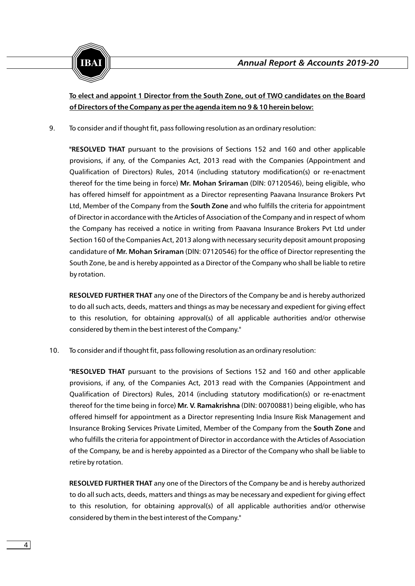

# **To elect and appoint 1 Director from the South Zone, out of TWO candidates on the Board of Directors of the Company as per the agenda item no 9 & 10 herein below:**

9. To consider and if thought fit, pass following resolution as an ordinary resolution:

**"RESOLVED THAT** pursuant to the provisions of Sections 152 and 160 and other applicable provisions, if any, of the Companies Act, 2013 read with the Companies (Appointment and Qualification of Directors) Rules, 2014 (including statutory modification(s) or re-enactment thereof for the time being in force) **Mr. Mohan Sriraman** (DlN: 07120546), being eligible, who has offered himself for appointment as a Director representing Paavana Insurance Brokers Pvt Ltd, Member of the Company from the **South Zone** and who fulfills the criteria for appointment of Director in accordance with the Articles of Association of the Company and in respect of whom the Company has received a notice in writing from Paavana Insurance Brokers Pvt Ltd under Section 160 of the Companies Act, 2013 along with necessary security deposit amount proposing candidature of **Mr. Mohan Sriraman** (DlN: 07120546) for the office of Director representing the South Zone, be and is hereby appointed as a Director of the Company who shall be liable to retire by rotation.

**RESOLVED FURTHER THAT** any one of the Directors of the Company be and is hereby authorized to do all such acts, deeds, matters and things as may be necessary and expedient for giving effect to this resolution, for obtaining approval(s) of all applicable authorities and/or otherwise considered by them in the best interest of the Company."

10. To consider and if thought fit, pass following resolution as an ordinary resolution:

**"RESOLVED THAT** pursuant to the provisions of Sections 152 and 160 and other applicable provisions, if any, of the Companies Act, 2013 read with the Companies (Appointment and Qualification of Directors) Rules, 2014 (including statutory modification(s) or re-enactment thereof for the time being in force) **Mr. V. Ramakrishna** (DlN: 00700881) being eligible, who has offered himself for appointment as a Director representing India Insure Risk Management and Insurance Broking Services Private Limited, Member of the Company from the **South Zone** and who fulfills the criteria for appointment of Director in accordance with the Articles of Association of the Company, be and is hereby appointed as a Director of the Company who shall be liable to retire by rotation.

**RESOLVED FURTHER THAT** any one of the Directors of the Company be and is hereby authorized to do all such acts, deeds, matters and things as may be necessary and expedient for giving effect to this resolution, for obtaining approval(s) of all applicable authorities and/or otherwise considered by them in the best interest of the Company."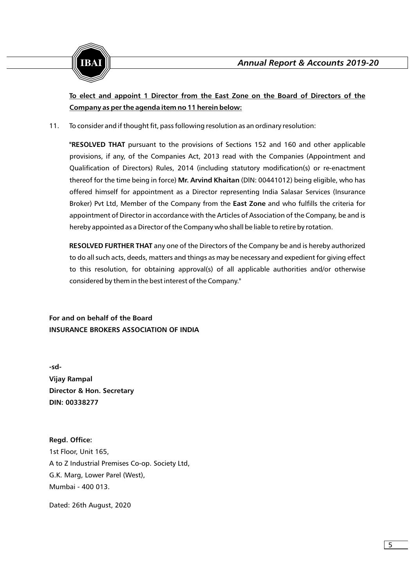

**To elect and appoint 1 Director from the East Zone on the Board of Directors of the Company as per the agenda item no 11 herein below:**

11. To consider and if thought fit, pass following resolution as an ordinary resolution:

**"RESOLVED THAT** pursuant to the provisions of Sections 152 and 160 and other applicable provisions, if any, of the Companies Act, 2013 read with the Companies (Appointment and Qualification of Directors) Rules, 2014 (including statutory modification(s) or re-enactment thereof for the time being in force) **Mr. Arvind Khaitan** (DlN: 00441012) being eligible, who has offered himself for appointment as a Director representing India Salasar Services (Insurance Broker) Pvt Ltd, Member of the Company from the **East Zone** and who fulfills the criteria for appointment of Director in accordance with the Articles of Association of the Company, be and is hereby appointed as a Director of the Company who shall be liable to retire by rotation.

**RESOLVED FURTHER THAT** any one of the Directors of the Company be and is hereby authorized to do all such acts, deeds, matters and things as may be necessary and expedient for giving effect to this resolution, for obtaining approval(s) of all applicable authorities and/or otherwise considered by them in the best interest of the Company."

**For and on behalf of the Board INSURANCE BROKERS ASSOCIATION OF INDIA**

**-sd-Vijay Rampal Director & Hon. Secretary DIN: 00338277**

**Regd. Office:** 1st Floor, Unit 165, A to Z Industrial Premises Co-op. Society Ltd, G.K. Marg, Lower Parel (West), Mumbai - 400 013.

Dated: 26th August, 2020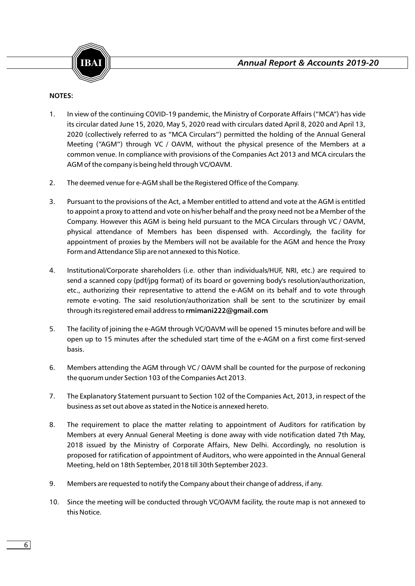

# **NOTES:**

- 1. In view of the continuing COVID-19 pandemic, the Ministry of Corporate Affairs ("MCA") has vide its circular dated June 15, 2020, May 5, 2020 read with circulars dated April 8, 2020 and April 13, 2020 (collectively referred to as "MCA Circulars") permitted the holding of the Annual General Meeting ("AGM") through VC / OAVM, without the physical presence of the Members at a common venue. In compliance with provisions of the Companies Act 2013 and MCA circulars the AGM of the company is being held through VC/OAVM.
- 2. The deemed venue for e-AGM shall be the Registered Office of the Company.
- 3. Pursuant to the provisions of the Act, a Member entitled to attend and vote at the AGM is entitled to appoint a proxy to attend and vote on his/her behalf and the proxy need not be a Member of the Company. However this AGM is being held pursuant to the MCA Circulars through VC / OAVM, physical attendance of Members has been dispensed with. Accordingly, the facility for appointment of proxies by the Members will not be available for the AGM and hence the Proxy Form and Attendance Slip are not annexed to this Notice.
- 4. Institutional/Corporate shareholders (i.e. other than individuals/HUF, NRI, etc.) are required to send a scanned copy (pdf/jpg format) of its board or governing body's resolution/authorization, etc., authorizing their representative to attend the e-AGM on its behalf and to vote through remote e-voting. The said resolution/authorization shall be sent to the scrutinizer by email through its registered email address to **rmimani222@gmail.com**
- 5. The facility of joining the e-AGM through VC/OAVM will be opened 15 minutes before and will be open up to 15 minutes after the scheduled start time of the e-AGM on a first come first-served basis.
- 6. Members attending the AGM through VC / OAVM shall be counted for the purpose of reckoning the quorum under Section 103 of the Companies Act 2013.
- 7. The Explanatory Statement pursuant to Section 102 of the Companies Act, 2013, in respect of the business as set out above as stated in the Notice is annexed hereto.
- 8. The requirement to place the matter relating to appointment of Auditors for ratification by Members at every Annual General Meeting is done away with vide notification dated 7th May, 2018 issued by the Ministry of Corporate Affairs, New Delhi. Accordingly, no resolution is proposed for ratification of appointment of Auditors, who were appointed in the Annual General Meeting, held on 18th September, 2018 till 30th September 2023.
- 9. Members are requested to notify the Company about their change of address, if any.
- 10. Since the meeting will be conducted through VC/OAVM facility, the route map is not annexed to this Notice.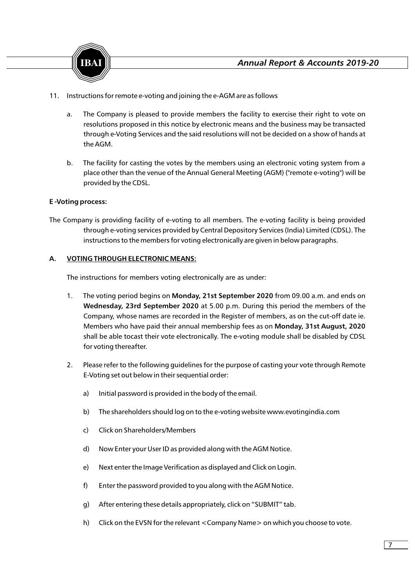- 11. Instructions for remote e-voting and joining the e-AGM are as follows
	- a. The Company is pleased to provide members the facility to exercise their right to vote on resolutions proposed in this notice by electronic means and the business may be transacted through e-Voting Services and the said resolutions will not be decided on a show of hands at the AGM.
	- b. The facility for casting the votes by the members using an electronic voting system from a place other than the venue of the Annual General Meeting (AGM) ("remote e-voting") will be provided by the CDSL.

# **E -Voting process:**

The Company is providing facility of e-voting to all members. The e-voting facility is being provided through e-voting services provided by Central Depository Services (India) Limited (CDSL). The instructions to the members for voting electronically are given in below paragraphs.

# **A. VOTING THROUGH ELECTRONIC MEANS:**

The instructions for members voting electronically are as under:

- 1. The voting period begins on **Monday, 21st September 2020** from 09.00 a.m. and ends on **Wednesday, 23rd September 2020** at 5.00 p.m. During this period the members of the Company, whose names are recorded in the Register of members, as on the cut-off date ie. Members who have paid their annual membership fees as on **Monday, 31st August, 2020**  shall be able tocast their vote electronically. The e-voting module shall be disabled by CDSL for voting thereafter.
- 2. Please refer to the following guidelines for the purpose of casting your vote through Remote E-Voting set out below in their sequential order:
	- a) Initial password is provided in the body of the email.
	- b) The shareholders should log on to the e-voting website www.evotingindia.com
	- c) Click on Shareholders/Members
	- d) Now Enter your User ID as provided along with the AGM Notice.
	- e) Next enter the Image Verification as displayed and Click on Login.
	- f) Enter the password provided to you along with the AGM Notice.
	- g) After entering these details appropriately, click on "SUBMIT" tab.
	- h) Click on the EVSN for the relevant <Company Name> on which you choose to vote.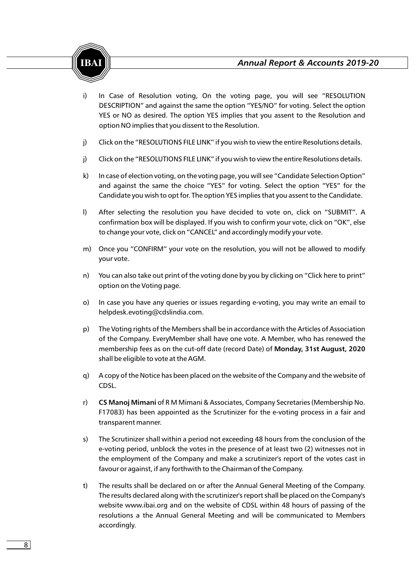

- i) In Case of Resolution voting, On the voting page, you will see "RESOLUTION DESCRIPTION" and against the same the option "YES/NO" for voting. Select the option YES or NO as desired. The option YES implies that you assent to the Resolution and option NO implies that you dissent to the Resolution.
- j) Click on the "RESOLUTIONS FILE LINK" if you wish to view the entire Resolutions details.
- j) Click on the "RESOLUTIONS FILE LINK" if you wish to view the entire Resolutions details.
- k) In case of election voting, on the voting page, you will see "Candidate Selection Option" and against the same the choice "YES" for voting. Select the option "YES" for the Candidate you wish to opt for. The option YES implies that you assent to the Candidate.
- l) After selecting the resolution you have decided to vote on, click on "SUBMIT". A confirmation box will be displayed. If you wish to confirm your vote, click on "OK", else to change your vote, click on "CANCEL" and accordingly modify your vote.
- m) Once you "CONFIRM" your vote on the resolution, you will not be allowed to modify your vote.
- n) You can also take out print of the voting done by you by clicking on "Click here to print" option on the Voting page.
- o) In case you have any queries or issues regarding e-voting, you may write an email to helpdesk.evoting@cdslindia.com.
- p) The Voting rights of the Members shall be in accordance with the Articles of Association of the Company. EveryMember shall have one vote. A Member, who has renewed the membership fees as on the cut-off date (record Date) of **Monday, 31st August, 2020**  shall be eligible to vote at the AGM.
- q) A copy of the Notice has been placed on the website of the Company and the website of CDSL.
- r) **CS Manoj Mimani** of R M Mimani & Associates, Company Secretaries (Membership No. F17083) has been appointed as the Scrutinizer for the e-voting process in a fair and transparent manner.
- s) The Scrutinizer shall within a period not exceeding 48 hours from the conclusion of the e-voting period, unblock the votes in the presence of at least two (2) witnesses not in the employment of the Company and make a scrutinizer's report of the votes cast in favour or against, if any forthwith to the Chairman of the Company.
- t) The results shall be declared on or after the Annual General Meeting of the Company. The results declared along with the scrutinizer's report shall be placed on the Company's website www.ibai.org and on the website of CDSL within 48 hours of passing of the resolutions a the Annual General Meeting and will be communicated to Members accordingly.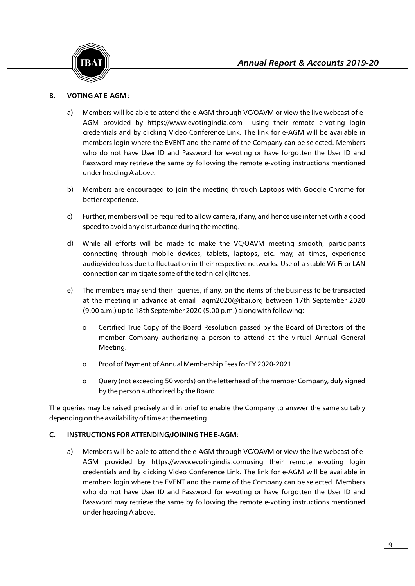



# **B. VOTING AT E-AGM :**

- a) Members will be able to attend the e-AGM through VC/OAVM or view the live webcast of e-AGM provided by https://www.evotingindia.com using their remote e-voting login credentials and by clicking Video Conference Link. The link for e-AGM will be available in members login where the EVENT and the name of the Company can be selected. Members who do not have User ID and Password for e-voting or have forgotten the User ID and Password may retrieve the same by following the remote e-voting instructions mentioned under heading A above.
- b) Members are encouraged to join the meeting through Laptops with Google Chrome for better experience.
- c) Further, members will be required to allow camera, if any, and hence use internet with a good speed to avoid any disturbance during the meeting.
- d) While all efforts will be made to make the VC/OAVM meeting smooth, participants connecting through mobile devices, tablets, laptops, etc. may, at times, experience audio/video loss due to fluctuation in their respective networks. Use of a stable Wi-Fi or LAN connection can mitigate some of the technical glitches.
- e) The members may send their queries, if any, on the items of the business to be transacted at the meeting in advance at email agm2020@ibai.org between 17th September 2020 (9.00 a.m.) up to 18th September 2020 (5.00 p.m.) along with following:
	- o Certified True Copy of the Board Resolution passed by the Board of Directors of the member Company authorizing a person to attend at the virtual Annual General Meeting.
	- o Proof of Payment of Annual Membership Fees for FY 2020-2021.
	- o Query (not exceeding 50 words) on the letterhead of the member Company, duly signed by the person authorized by the Board

The queries may be raised precisely and in brief to enable the Company to answer the same suitably depending on the availability of time at the meeting.

#### **C. INSTRUCTIONS FOR ATTENDING/JOINING THE E-AGM:**

a) Members will be able to attend the e-AGM through VC/OAVM or view the live webcast of e-AGM provided by https://www.evotingindia.comusing their remote e-voting login credentials and by clicking Video Conference Link. The link for e-AGM will be available in members login where the EVENT and the name of the Company can be selected. Members who do not have User ID and Password for e-voting or have forgotten the User ID and Password may retrieve the same by following the remote e-voting instructions mentioned under heading A above.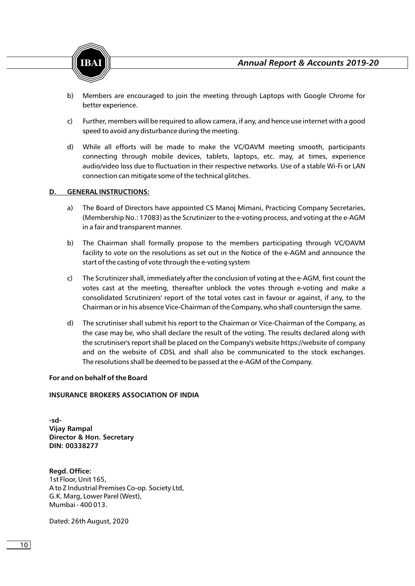

- b) Members are encouraged to join the meeting through Laptops with Google Chrome for better experience.
- c) Further, members will be required to allow camera, if any, and hence use internet with a good speed to avoid any disturbance during the meeting.
- d) While all efforts will be made to make the VC/OAVM meeting smooth, participants connecting through mobile devices, tablets, laptops, etc. may, at times, experience audio/video loss due to fluctuation in their respective networks. Use of a stable Wi-Fi or LAN connection can mitigate some of the technical glitches.

# **D. GENERAL INSTRUCTIONS:**

- a) The Board of Directors have appointed CS Manoj Mimani, Practicing Company Secretaries, (Membership No.: 17083) as the Scrutinizer to the e-voting process, and voting at the e-AGM in a fair and transparent manner.
- b) The Chairman shall formally propose to the members participating through VC/OAVM facility to vote on the resolutions as set out in the Notice of the e-AGM and announce the start of the casting of vote through the e-voting system
- c) The Scrutinizer shall, immediately after the conclusion of voting at the e-AGM, first count the votes cast at the meeting, thereafter unblock the votes through e-voting and make a consolidated Scrutinizers' report of the total votes cast in favour or against, if any, to the Chairman or in his absence Vice-Chairman of the Company, who shall countersign the same.
- d) The scrutiniser shall submit his report to the Chairman or Vice-Chairman of the Company, as the case may be, who shall declare the result of the voting. The results declared along with the scrutiniser's report shall be placed on the Company's website https://website of company and on the website of CDSL and shall also be communicated to the stock exchanges. The resolutions shall be deemed to be passed at the e-AGM of the Company.

### **For and on behalf of the Board**

# **INSURANCE BROKERS ASSOCIATION OF INDIA**

**-sd-Vijay Rampal Director & Hon. Secretary DIN: 00338277**

**Regd. Office:** 1st Floor, Unit 165, A to Z Industrial Premises Co-op. Society Ltd, G.K. Marg, Lower Parel (West), Mumbai - 400 013.

Dated: 26th August, 2020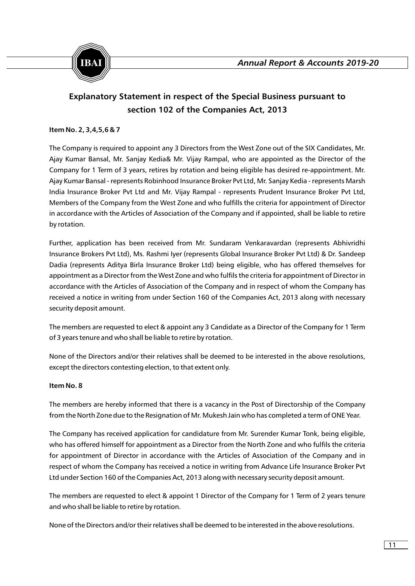

# **Explanatory Statement in respect of the Special Business pursuant to section 102 of the Companies Act, 2013**

# **Item No. 2, 3,4,5,6 & 7**

The Company is required to appoint any 3 Directors from the West Zone out of the SIX Candidates, Mr. Ajay Kumar Bansal, Mr. Sanjay Kedia& Mr. Vijay Rampal, who are appointed as the Director of the Company for 1 Term of 3 years, retires by rotation and being eligible has desired re-appointment. Mr. Ajay Kumar Bansal - represents Robinhood Insurance Broker Pvt Ltd, Mr. Sanjay Kedia - represents Marsh India Insurance Broker Pvt Ltd and Mr. Vijay Rampal - represents Prudent Insurance Broker Pvt Ltd, Members of the Company from the West Zone and who fulfills the criteria for appointment of Director in accordance with the Articles of Association of the Company and if appointed, shall be liable to retire by rotation.

Further, application has been received from Mr. Sundaram Venkaravardan (represents Abhivridhi Insurance Brokers Pvt Ltd), Ms. Rashmi Iyer (represents Global Insurance Broker Pvt Ltd) & Dr. Sandeep Dadia (represents Aditya Birla Insurance Broker Ltd) being eligible, who has offered themselves for appointment as a Director from the West Zone and who fulfils the criteria for appointment of Director in accordance with the Articles of Association of the Company and in respect of whom the Company has received a notice in writing from under Section 160 of the Companies Act, 2013 along with necessary security deposit amount.

The members are requested to elect & appoint any 3 Candidate as a Director of the Company for 1 Term of 3 years tenure and who shall be liable to retire by rotation.

None of the Directors and/or their relatives shall be deemed to be interested in the above resolutions, except the directors contesting election, to that extent only.

#### **Item No. 8**

The members are hereby informed that there is a vacancy in the Post of Directorship of the Company from the North Zone due to the Resignation of Mr. Mukesh Jain who has completed a term of ONE Year.

The Company has received application for candidature from Mr. Surender Kumar Tonk, being eligible, who has offered himself for appointment as a Director from the North Zone and who fulfils the criteria for appointment of Director in accordance with the Articles of Association of the Company and in respect of whom the Company has received a notice in writing from Advance Life Insurance Broker Pvt Ltd under Section 160 of the Companies Act, 2013 along with necessary security deposit amount.

The members are requested to elect & appoint 1 Director of the Company for 1 Term of 2 years tenure and who shall be liable to retire by rotation.

None of the Directors and/or their relatives shall be deemed to be interested in the above resolutions.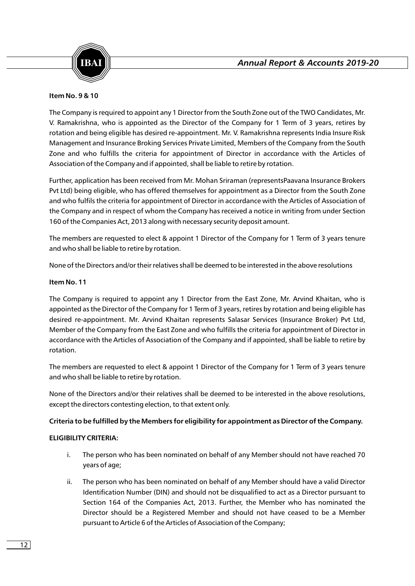

### **Item No. 9 & 10**

The Company is required to appoint any 1 Director from the South Zone out of the TWO Candidates, Mr. V. Ramakrishna, who is appointed as the Director of the Company for 1 Term of 3 years, retires by rotation and being eligible has desired re-appointment. Mr. V. Ramakrishna represents India Insure Risk Management and Insurance Broking Services Private Limited, Members of the Company from the South Zone and who fulfills the criteria for appointment of Director in accordance with the Articles of Association of the Company and if appointed, shall be liable to retire by rotation.

Further, application has been received from Mr. Mohan Sriraman (representsPaavana Insurance Brokers Pvt Ltd) being eligible, who has offered themselves for appointment as a Director from the South Zone and who fulfils the criteria for appointment of Director in accordance with the Articles of Association of the Company and in respect of whom the Company has received a notice in writing from under Section 160 of the Companies Act, 2013 along with necessary security deposit amount.

The members are requested to elect & appoint 1 Director of the Company for 1 Term of 3 years tenure and who shall be liable to retire by rotation.

None of the Directors and/or their relatives shall be deemed to be interested in the above resolutions

# **Item No. 11**

The Company is required to appoint any 1 Director from the East Zone, Mr. Arvind Khaitan, who is appointed as the Director of the Company for 1 Term of 3 years, retires by rotation and being eligible has desired re-appointment. Mr. Arvind Khaitan represents Salasar Services (Insurance Broker) Pvt Ltd, Member of the Company from the East Zone and who fulfills the criteria for appointment of Director in accordance with the Articles of Association of the Company and if appointed, shall be liable to retire by rotation.

The members are requested to elect & appoint 1 Director of the Company for 1 Term of 3 years tenure and who shall be liable to retire by rotation.

None of the Directors and/or their relatives shall be deemed to be interested in the above resolutions, except the directors contesting election, to that extent only.

#### **Criteria to be fulfilled by the Members for eligibility for appointment as Director of the Company.**

#### **ELIGIBILITY CRITERIA:**

- i. The person who has been nominated on behalf of any Member should not have reached 70 years of age;
- ii. The person who has been nominated on behalf of any Member should have a valid Director Identification Number (DIN) and should not be disqualified to act as a Director pursuant to Section 164 of the Companies Act, 2013. Further, the Member who has nominated the Director should be a Registered Member and should not have ceased to be a Member pursuant to Article 6 of the Articles of Association of the Company;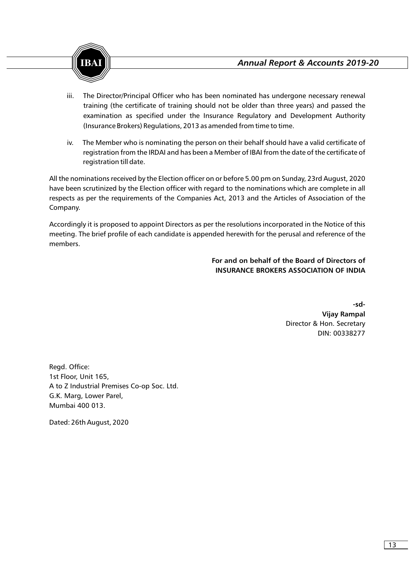- iii. The Director/Principal Officer who has been nominated has undergone necessary renewal training (the certificate of training should not be older than three years) and passed the examination as specified under the Insurance Regulatory and Development Authority (Insurance Brokers) Regulations, 2013 as amended from time to time.
- iv. The Member who is nominating the person on their behalf should have a valid certificate of registration from the IRDAI and has been a Member of IBAI from the date of the certificate of registration till date.

All the nominations received by the Election officer on or before 5.00 pm on Sunday, 23rd August, 2020 have been scrutinized by the Election officer with regard to the nominations which are complete in all respects as per the requirements of the Companies Act, 2013 and the Articles of Association of the Company.

Accordingly it is proposed to appoint Directors as per the resolutions incorporated in the Notice of this meeting. The brief profile of each candidate is appended herewith for the perusal and reference of the members.

> **For and on behalf of the Board of Directors of INSURANCE BROKERS ASSOCIATION OF INDIA**

> > **-sd-Vijay Rampal** Director & Hon. Secretary DIN: 00338277

Regd. Office: 1st Floor, Unit 165, A to Z Industrial Premises Co-op Soc. Ltd. G.K. Marg, Lower Parel, Mumbai 400 013.

Dated: 26th August, 2020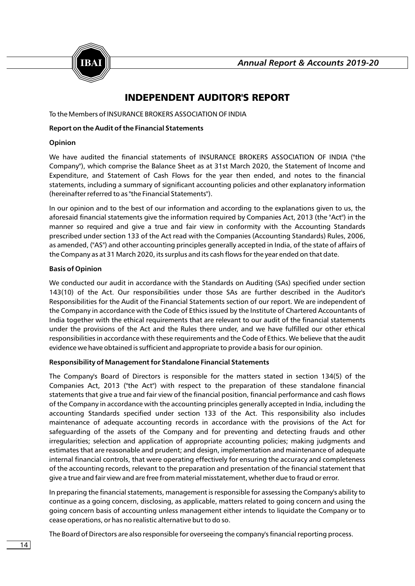

# INDEPENDENT AUDITOR'S REPORT

To the Members of INSURANCE BROKERS ASSOCIATION OF INDIA

#### **Report on the Audit of the Financial Statements**

### **Opinion**

We have audited the financial statements of INSURANCE BROKERS ASSOCIATION OF INDIA ("the Company"), which comprise the Balance Sheet as at 31st March 2020, the Statement of Income and Expenditure, and Statement of Cash Flows for the year then ended, and notes to the financial statements, including a summary of significant accounting policies and other explanatory information (hereinafter referred to as "the Financial Statements").

In our opinion and to the best of our information and according to the explanations given to us, the aforesaid financial statements give the information required by Companies Act, 2013 (the "Act") in the manner so required and give a true and fair view in conformity with the Accounting Standards prescribed under section 133 of the Act read with the Companies (Accounting Standards) Rules, 2006, as amended, ("AS") and other accounting principles generally accepted in India, of the state of affairs of the Company as at 31 March 2020, its surplus and its cash flows for the year ended on that date.

# **Basis of Opinion**

We conducted our audit in accordance with the Standards on Auditing (SAs) specified under section 143(10) of the Act. Our responsibilities under those SAs are further described in the Auditor's Responsibilities for the Audit of the Financial Statements section of our report. We are independent of the Company in accordance with the Code of Ethics issued by the Institute of Chartered Accountants of India together with the ethical requirements that are relevant to our audit of the financial statements under the provisions of the Act and the Rules there under, and we have fulfilled our other ethical responsibilities in accordance with these requirements and the Code of Ethics. We believe that the audit evidence we have obtained is sufficient and appropriate to provide a basis for our opinion.

# **Responsibility of Management for Standalone Financial Statements**

The Company's Board of Directors is responsible for the matters stated in section 134(5) of the Companies Act, 2013 ("the Act") with respect to the preparation of these standalone financial statements that give a true and fair view of the financial position, financial performance and cash flows of the Company in accordance with the accounting principles generally accepted in India, including the accounting Standards specified under section 133 of the Act. This responsibility also includes maintenance of adequate accounting records in accordance with the provisions of the Act for safeguarding of the assets of the Company and for preventing and detecting frauds and other irregularities; selection and application of appropriate accounting policies; making judgments and estimates that are reasonable and prudent; and design, implementation and maintenance of adequate internal financial controls, that were operating effectively for ensuring the accuracy and completeness of the accounting records, relevant to the preparation and presentation of the financial statement that give a true and fair view and are free from material misstatement, whether due to fraud or error.

In preparing the financial statements, management is responsible for assessing the Company's ability to continue as a going concern, disclosing, as applicable, matters related to going concern and using the going concern basis of accounting unless management either intends to liquidate the Company or to cease operations, or has no realistic alternative but to do so.

The Board of Directors are also responsible for overseeing the company's financial reporting process.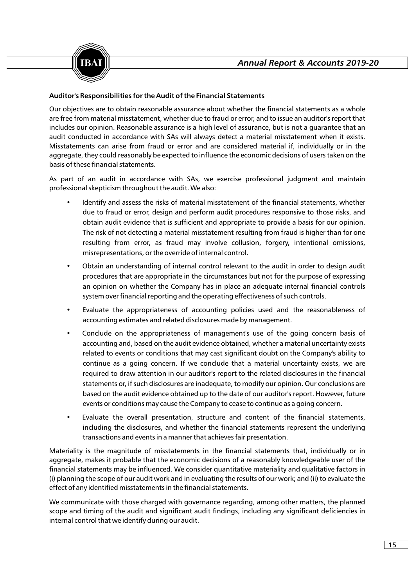

# **Auditor's Responsibilities for the Audit of the Financial Statements**

Our objectives are to obtain reasonable assurance about whether the financial statements as a whole are free from material misstatement, whether due to fraud or error, and to issue an auditor's report that includes our opinion. Reasonable assurance is a high level of assurance, but is not a guarantee that an audit conducted in accordance with SAs will always detect a material misstatement when it exists. Misstatements can arise from fraud or error and are considered material if, individually or in the aggregate, they could reasonably be expected to influence the economic decisions of users taken on the basis of these financial statements.

As part of an audit in accordance with SAs, we exercise professional judgment and maintain professional skepticism throughout the audit. We also:

- Identify and assess the risks of material misstatement of the financial statements, whether due to fraud or error, design and perform audit procedures responsive to those risks, and obtain audit evidence that is sufficient and appropriate to provide a basis for our opinion. The risk of not detecting a material misstatement resulting from fraud is higher than for one resulting from error, as fraud may involve collusion, forgery, intentional omissions, misrepresentations, or the override of internal control.
- Obtain an understanding of internal control relevant to the audit in order to design audit procedures that are appropriate in the circumstances but not for the purpose of expressing an opinion on whether the Company has in place an adequate internal financial controls system over financial reporting and the operating effectiveness of such controls.
- Evaluate the appropriateness of accounting policies used and the reasonableness of accounting estimates and related disclosures made by management.
- Conclude on the appropriateness of management's use of the going concern basis of accounting and, based on the audit evidence obtained, whether a material uncertainty exists related to events or conditions that may cast significant doubt on the Company's ability to continue as a going concern. If we conclude that a material uncertainty exists, we are required to draw attention in our auditor's report to the related disclosures in the financial statements or, if such disclosures are inadequate, to modify our opinion. Our conclusions are based on the audit evidence obtained up to the date of our auditor's report. However, future events or conditions may cause the Company to cease to continue as a going concern.
- Evaluate the overall presentation, structure and content of the financial statements, including the disclosures, and whether the financial statements represent the underlying transactions and events in a manner that achieves fair presentation.

Materiality is the magnitude of misstatements in the financial statements that, individually or in aggregate, makes it probable that the economic decisions of a reasonably knowledgeable user of the financial statements may be influenced. We consider quantitative materiality and qualitative factors in (i) planning the scope of our audit work and in evaluating the results of our work; and (ii) to evaluate the effect of any identified misstatements in the financial statements.

We communicate with those charged with governance regarding, among other matters, the planned scope and timing of the audit and significant audit findings, including any significant deficiencies in internal control that we identify during our audit.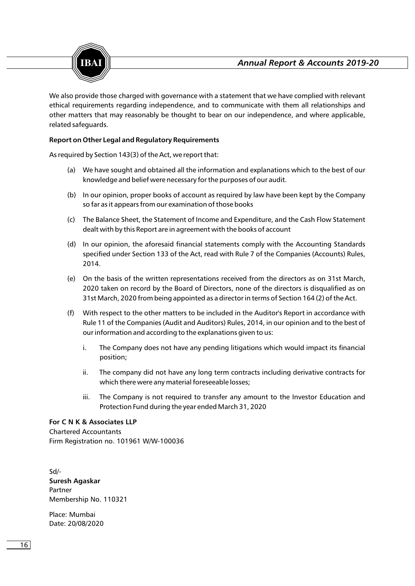



We also provide those charged with governance with a statement that we have complied with relevant ethical requirements regarding independence, and to communicate with them all relationships and other matters that may reasonably be thought to bear on our independence, and where applicable, related safeguards.

# **Report on Other Legal and Regulatory Requirements**

As required by Section 143(3) of the Act, we report that:

- (a) We have sought and obtained all the information and explanations which to the best of our knowledge and belief were necessary for the purposes of our audit.
- (b) In our opinion, proper books of account as required by law have been kept by the Company so far as it appears from our examination of those books
- (c) The Balance Sheet, the Statement of Income and Expenditure, and the Cash Flow Statement dealt with by this Report are in agreement with the books of account
- (d) In our opinion, the aforesaid financial statements comply with the Accounting Standards specified under Section 133 of the Act, read with Rule 7 of the Companies (Accounts) Rules, 2014.
- (e) On the basis of the written representations received from the directors as on 31st March, 2020 taken on record by the Board of Directors, none of the directors is disqualified as on 31st March, 2020 from being appointed as a director in terms of Section 164 (2) of the Act.
- (f) With respect to the other matters to be included in the Auditor's Report in accordance with Rule 11 of the Companies (Audit and Auditors) Rules, 2014, in our opinion and to the best of our information and according to the explanations given to us:
	- i. The Company does not have any pending litigations which would impact its financial position;
	- ii. The company did not have any long term contracts including derivative contracts for which there were any material foreseeable losses;
	- iii. The Company is not required to transfer any amount to the Investor Education and Protection Fund during the year ended March 31, 2020

#### **For C N K & Associates LLP**

Chartered Accountants Firm Registration no. 101961 W/W-100036

Sd/- **Suresh Agaskar** Partner Membership No. 110321

Place: Mumbai Date: 20/08/2020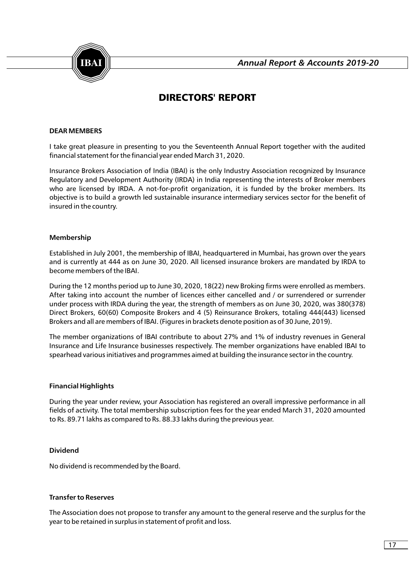

# DIRECTORS' REPORT

#### **DEAR MEMBERS**

I take great pleasure in presenting to you the Seventeenth Annual Report together with the audited financial statement for the financial year ended March 31, 2020.

Insurance Brokers Association of India (IBAI) is the only Industry Association recognized by Insurance Regulatory and Development Authority (IRDA) in India representing the interests of Broker members who are licensed by IRDA. A not-for-profit organization, it is funded by the broker members. Its objective is to build a growth led sustainable insurance intermediary services sector for the benefit of insured in the country.

#### **Membership**

Established in July 2001, the membership of IBAI, headquartered in Mumbai, has grown over the years and is currently at 444 as on June 30, 2020. All licensed insurance brokers are mandated by IRDA to become members of the IBAI.

During the 12 months period up to June 30, 2020, 18(22) new Broking firms were enrolled as members. After taking into account the number of licences either cancelled and / or surrendered or surrender under process with IRDA during the year, the strength of members as on June 30, 2020, was 380(378) Direct Brokers, 60(60) Composite Brokers and 4 (5) Reinsurance Brokers, totaling 444(443) licensed Brokers and all are members of IBAI. (Figures in brackets denote position as of 30 June, 2019).

The member organizations of IBAI contribute to about 27% and 1% of industry revenues in General Insurance and Life Insurance businesses respectively. The member organizations have enabled IBAI to spearhead various initiatives and programmes aimed at building the insurance sector in the country.

#### **Financial Highlights**

During the year under review, your Association has registered an overall impressive performance in all fields of activity. The total membership subscription fees for the year ended March 31, 2020 amounted to Rs. 89.71 lakhs as compared to Rs. 88.33 lakhs during the previous year.

#### **Dividend**

No dividend is recommended by the Board.

#### **Transfer to Reserves**

The Association does not propose to transfer any amount to the general reserve and the surplus for the year to be retained in surplus in statement of profit and loss.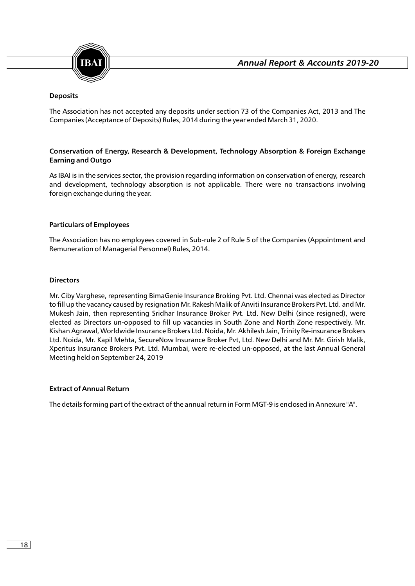

# **Deposits**

The Association has not accepted any deposits under section 73 of the Companies Act, 2013 and The Companies (Acceptance of Deposits) Rules, 2014 during the year ended March 31, 2020.

# **Conservation of Energy, Research & Development, Technology Absorption & Foreign Exchange Earning and Outgo**

As IBAI is in the services sector, the provision regarding information on conservation of energy, research and development, technology absorption is not applicable. There were no transactions involving foreign exchange during the year.

#### **Particulars of Employees**

The Association has no employees covered in Sub-rule 2 of Rule 5 of the Companies (Appointment and Remuneration of Managerial Personnel) Rules, 2014.

#### **Directors**

Mr. Ciby Varghese, representing BimaGenie Insurance Broking Pvt. Ltd. Chennai was elected as Director to fill up the vacancy caused by resignation Mr. Rakesh Malik of Anviti Insurance Brokers Pvt. Ltd. and Mr. Mukesh Jain, then representing Sridhar Insurance Broker Pvt. Ltd. New Delhi (since resigned), were elected as Directors un-opposed to fill up vacancies in South Zone and North Zone respectively. Mr. Kishan Agrawal, Worldwide Insurance Brokers Ltd. Noida, Mr. Akhilesh Jain, Trinity Re-insurance Brokers Ltd. Noida, Mr. Kapil Mehta, SecureNow Insurance Broker Pvt, Ltd. New Delhi and Mr. Mr. Girish Malik, Xperitus Insurance Brokers Pvt. Ltd. Mumbai, were re-elected un-opposed, at the last Annual General Meeting held on September 24, 2019

#### **Extract of Annual Return**

The details forming part of the extract of the annual return in Form MGT-9 is enclosed in Annexure "A".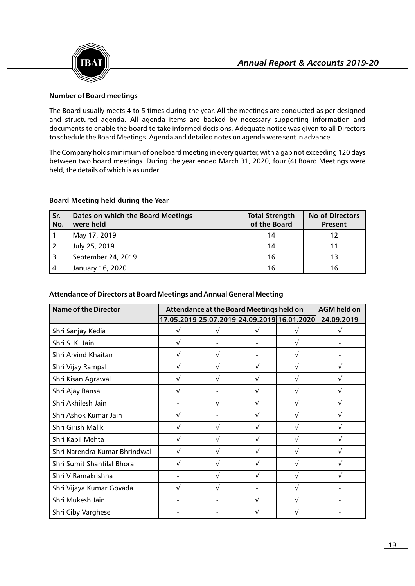

# **Number of Board meetings**

The Board usually meets 4 to 5 times during the year. All the meetings are conducted as per designed and structured agenda. All agenda items are backed by necessary supporting information and documents to enable the board to take informed decisions. Adequate notice was given to all Directors to schedule the Board Meetings. Agenda and detailed notes on agenda were sent in advance.

The Company holds minimum of one board meeting in every quarter, with a gap not exceeding 120 days between two board meetings. During the year ended March 31, 2020, four (4) Board Meetings were held, the details of which is as under:

#### **Board Meeting held during the Year**

| Sr.<br>No. | Dates on which the Board Meetings<br>were held | <b>Total Strength</b><br>of the Board | <b>No of Directors</b><br>Present |
|------------|------------------------------------------------|---------------------------------------|-----------------------------------|
|            | May 17, 2019                                   | 14                                    | 12                                |
|            | July 25, 2019                                  | 14                                    |                                   |
|            | September 24, 2019                             | 16                                    | 13                                |
| 4          | January 16, 2020                               | 16                                    |                                   |

#### **Attendance of Directors at Board Meetings and Annual General Meeting**

| <b>Name of the Director</b>   |   | Attendance at the Board Meetings held on |                                             |   |            |  |  |
|-------------------------------|---|------------------------------------------|---------------------------------------------|---|------------|--|--|
|                               |   |                                          | 17.05.2019 25.07.2019 24.09.2019 16.01.2020 |   | 24.09.2019 |  |  |
| Shri Sanjay Kedia             | Ö | Ö                                        | O                                           | O | Ő          |  |  |
| Shri S. K. Jain               | Ő |                                          |                                             | Ö |            |  |  |
| Shri Arvind Khaitan           | Ö | Ö                                        |                                             | Ö |            |  |  |
| Shri Vijay Rampal             | Ö | Ö                                        | Ö                                           | Ö | Ö          |  |  |
| Shri Kisan Agrawal            | Ö | Ö                                        | Ö                                           | Ö | Ö          |  |  |
| Shri Ajay Bansal              | Ö |                                          | Ö                                           | Ö | Ö          |  |  |
| Shri Akhilesh Jain            |   | Ö                                        | Ö                                           | Ö | Ö          |  |  |
| Shri Ashok Kumar Jain         | Ö |                                          | Ö                                           | Ö | Ö          |  |  |
| Shri Girish Malik             | Ö | Ö                                        | Ö                                           | Ö | Ö          |  |  |
| Shri Kapil Mehta              | Ö | Ö                                        | Ö                                           | Ö | Ö          |  |  |
| Shri Narendra Kumar Bhrindwal | Ö | Ö                                        | Ö                                           | Ö | Ö          |  |  |
| Shri Sumit Shantilal Bhora    | Ö | Ö                                        | Ö                                           | Ö | Ö          |  |  |
| Shri V Ramakrishna            |   | Ö                                        | Ö                                           | Ö | Ö          |  |  |
| Shri Vijaya Kumar Govada      | Ö | Ö                                        |                                             | Ö |            |  |  |
| Shri Mukesh Jain              |   |                                          | Ö                                           | Ö |            |  |  |
| Shri Ciby Varghese            |   |                                          | Ö                                           | Ö |            |  |  |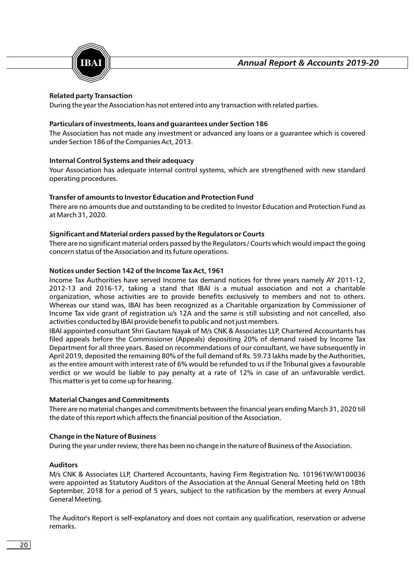

# **Related party Transaction**

During the year the Association has not entered into any transaction with related parties.

### **Particulars of investments, loans and guarantees under Section 186**

The Association has not made any investment or advanced any loans or a guarantee which is covered under Section 186 of the Companies Act, 2013.

# **Internal Control Systems and their adequacy**

Your Association has adequate internal control systems, which are strengthened with new standard operating procedures.

# **Transfer of amounts to Investor Education and Protection Fund**

There are no amounts due and outstanding to be credited to Investor Education and Protection Fund as at March 31, 2020.

# **Significant and Material orders passed by the Regulators or Courts**

There are no significant material orders passed by the Regulators / Courts which would impact the going concern status of the Association and its future operations.

# **Notices under Section 142 of the Income Tax Act, 1961**

Income Tax Authorities have served Income tax demand notices for three years namely AY 2011-12, 2012-13 and 2016-17, taking a stand that IBAI is a mutual association and not a charitable organization, whose activities are to provide benefits exclusively to members and not to others. Whereas our stand was, IBAI has been recognized as a Charitable organization by Commissioner of Income Tax vide grant of registration u/s 12A and the same is still subsisting and not cancelled, also activities conducted by IBAI provide benefit to public and not just members.

IBAI appointed consultant Shri Gautam Nayak of M/s CNK & Associates LLP, Chartered Accountants has filed appeals before the Commissioner (Appeals) depositing 20% of demand raised by Income Tax Department for all three years. Based on recommendations of our consultant, we have subsequently in April 2019, deposited the remaining 80% of the full demand of Rs. 59.73 lakhs made by the Authorities, as the entire amount with interest rate of 6% would be refunded to us if the Tribunal gives a favourable verdict or we would be liable to pay penalty at a rate of 12% in case of an unfavorable verdict. This matter is yet to come up for hearing.

#### **Material Changes and Commitments**

There are no material changes and commitments between the financial years ending March 31, 2020 till the date of this report which affects the financial position of the Association.

#### **Change in the Nature of Business**

During the year under review, there has been no change in the nature of Business of the Association.

#### **Auditors**

M/s CNK & Associates LLP, Chartered Accountants, having Firm Registration No. 101961W/W100036 were appointed as Statutory Auditors of the Association at the Annual General Meeting held on 18th September, 2018 for a period of 5 years, subject to the ratification by the members at every Annual General Meeting.

The Auditor's Report is self-explanatory and does not contain any qualification, reservation or adverse remarks.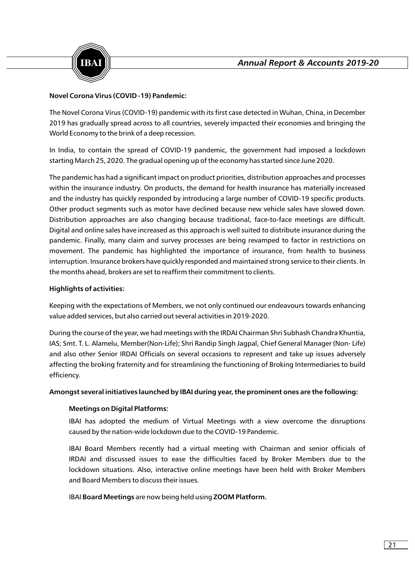

# **Novel Corona Virus (COVID -19) Pandemic:**

The Novel Corona Virus (COVID-19) pandemic with its first case detected in Wuhan, China, in December 2019 has gradually spread across to all countries, severely impacted their economies and bringing the World Economy to the brink of a deep recession.

In India, to contain the spread of COVID-19 pandemic, the government had imposed a lockdown starting March 25, 2020. The gradual opening up of the economy has started since June 2020.

The pandemic has had a significant impact on product priorities, distribution approaches and processes within the insurance industry. On products, the demand for health insurance has materially increased and the industry has quickly responded by introducing a large number of COVID-19 specific products. Other product segments such as motor have declined because new vehicle sales have slowed down. Distribution approaches are also changing because traditional, face-to-face meetings are difficult. Digital and online sales have increased as this approach is well suited to distribute insurance during the pandemic. Finally, many claim and survey processes are being revamped to factor in restrictions on movement. The pandemic has highlighted the importance of insurance, from health to business interruption. Insurance brokers have quickly responded and maintained strong service to their clients. In the months ahead, brokers are set to reaffirm their commitment to clients.

# **Highlights of activities:**

Keeping with the expectations of Members, we not only continued our endeavours towards enhancing value added services, but also carried out several activities in 2019-2020.

During the course of the year, we had meetings with the IRDAI Chairman Shri Subhash Chandra Khuntia, IAS; Smt. T. L. Alamelu, Member(Non-Life); Shri Randip Singh Jagpal, Chief General Manager (Non- Life) and also other Senior IRDAI Officials on several occasions to represent and take up issues adversely affecting the broking fraternity and for streamlining the functioning of Broking Intermediaries to build efficiency.

#### **Amongst several initiatives launched by IBAI during year, the prominent ones are the following:**

#### **Meetings on Digital Platforms:**

IBAI has adopted the medium of Virtual Meetings with a view overcome the disruptions caused by the nation-wide lockdown due to the COVID-19 Pandemic.

IBAI Board Members recently had a virtual meeting with Chairman and senior officials of IRDAI and discussed issues to ease the difficulties faced by Broker Members due to the lockdown situations. Also, interactive online meetings have been held with Broker Members and Board Members to discuss their issues.

IBAI **Board Meetings** are now being held using **ZOOM Platform.**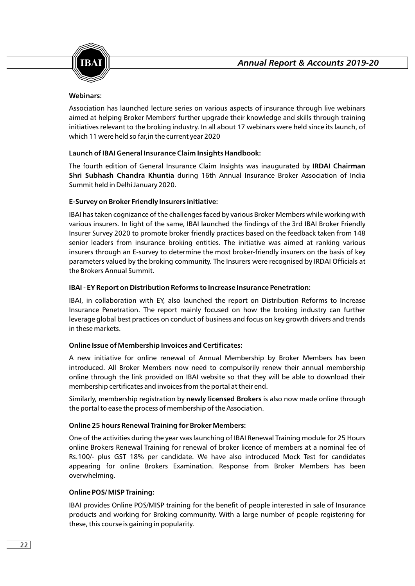

# **Webinars:**

Association has launched lecture series on various aspects of insurance through live webinars aimed at helping Broker Members' further upgrade their knowledge and skills through training initiatives relevant to the broking industry. In all about 17 webinars were held since its launch, of which 11 were held so far,in the current year 2020

# **Launch of IBAI General Insurance Claim Insights Handbook:**

The fourth edition of General Insurance Claim Insights was inaugurated by **IRDAI Chairman Shri Subhash Chandra Khuntia** during 16th Annual Insurance Broker Association of India Summit held in Delhi January 2020.

# **E-Survey on Broker Friendly Insurers initiative:**

IBAI has taken cognizance of the challenges faced by various Broker Members while working with various insurers. In light of the same, IBAI launched the findings of the 3rd IBAI Broker Friendly Insurer Survey 2020 to promote broker friendly practices based on the feedback taken from 148 senior leaders from insurance broking entities. The initiative was aimed at ranking various insurers through an E-survey to determine the most broker-friendly insurers on the basis of key parameters valued by the broking community. The Insurers were recognised by IRDAI Officials at the Brokers Annual Summit.

# **IBAI - EY Report on Distribution Reforms to Increase Insurance Penetration:**

IBAI, in collaboration with EY, also launched the report on Distribution Reforms to Increase Insurance Penetration. The report mainly focused on how the broking industry can further leverage global best practices on conduct of business and focus on key growth drivers and trends in these markets.

#### **Online Issue of Membership Invoices and Certificates:**

A new initiative for online renewal of Annual Membership by Broker Members has been introduced. All Broker Members now need to compulsorily renew their annual membership online through the link provided on IBAI website so that they will be able to download their membership certificates and invoices from the portal at their end.

Similarly, membership registration by **newly licensed Brokers** is also now made online through the portal to ease the process of membership of the Association.

#### **Online 25 hours Renewal Training for Broker Members:**

One of the activities during the year was launching of IBAI Renewal Training module for 25 Hours online Brokers Renewal Training for renewal of broker licence of members at a nominal fee of Rs.100/- plus GST 18% per candidate. We have also introduced Mock Test for candidates appearing for online Brokers Examination. Response from Broker Members has been overwhelming.

# **Online POS/ MISP Training:**

IBAI provides Online POS/MISP training for the benefit of people interested in sale of Insurance products and working for Broking community. With a large number of people registering for these, this course is gaining in popularity.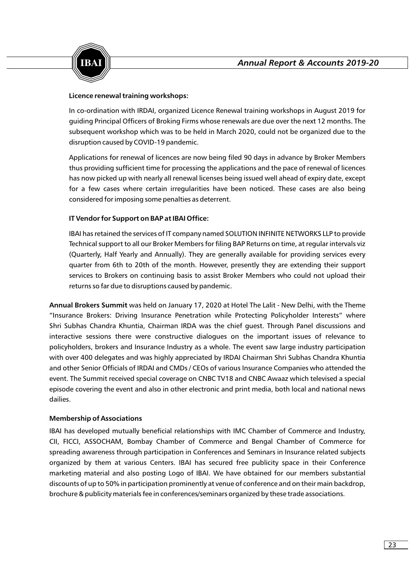

# **Licence renewal training workshops:**

In co-ordination with IRDAI, organized Licence Renewal training workshops in August 2019 for guiding Principal Officers of Broking Firms whose renewals are due over the next 12 months. The subsequent workshop which was to be held in March 2020, could not be organized due to the disruption caused by COVID-19 pandemic.

Applications for renewal of licences are now being filed 90 days in advance by Broker Members thus providing sufficient time for processing the applications and the pace of renewal of licences has now picked up with nearly all renewal licenses being issued well ahead of expiry date, except for a few cases where certain irregularities have been noticed. These cases are also being considered for imposing some penalties as deterrent.

# **IT Vendor for Support on BAP at IBAI Office:**

IBAI has retained the services of IT company named SOLUTION INFINITE NETWORKS LLP to provide Technical support to all our Broker Members for filing BAP Returns on time, at regular intervals viz (Quarterly, Half Yearly and Annually). They are generally available for providing services every quarter from 6th to 20th of the month. However, presently they are extending their support services to Brokers on continuing basis to assist Broker Members who could not upload their returns so far due to disruptions caused by pandemic.

**Annual Brokers Summit** was held on January 17, 2020 at Hotel The Lalit - New Delhi, with the Theme "Insurance Brokers: Driving Insurance Penetration while Protecting Policyholder Interests" where Shri Subhas Chandra Khuntia, Chairman IRDA was the chief guest. Through Panel discussions and interactive sessions there were constructive dialogues on the important issues of relevance to policyholders, brokers and Insurance Industry as a whole. The event saw large industry participation with over 400 delegates and was highly appreciated by IRDAI Chairman Shri Subhas Chandra Khuntia and other Senior Officials of IRDAI and CMDs / CEOs of various Insurance Companies who attended the event. The Summit received special coverage on CNBC TV18 and CNBC Awaaz which televised a special episode covering the event and also in other electronic and print media, both local and national news dailies.

#### **Membership of Associations**

IBAI has developed mutually beneficial relationships with IMC Chamber of Commerce and Industry, CII, FICCI, ASSOCHAM, Bombay Chamber of Commerce and Bengal Chamber of Commerce for spreading awareness through participation in Conferences and Seminars in Insurance related subjects organized by them at various Centers. IBAI has secured free publicity space in their Conference marketing material and also posting Logo of IBAI. We have obtained for our members substantial discounts of up to 50% in participation prominently at venue of conference and on their main backdrop, brochure & publicity materials fee in conferences/seminars organized by these trade associations.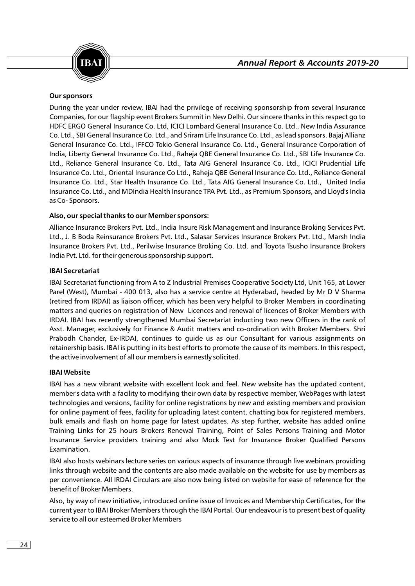

# **Our sponsors**

During the year under review, IBAI had the privilege of receiving sponsorship from several Insurance Companies, for our flagship event Brokers Summit in New Delhi. Our sincere thanks in this respect go to HDFC ERGO General Insurance Co. Ltd, ICICI Lombard General Insurance Co. Ltd., New India Assurance Co. Ltd., SBI General Insurance Co. Ltd., and Sriram Life Insurance Co. Ltd., as lead sponsors. Bajaj Allianz General Insurance Co. Ltd., IFFCO Tokio General Insurance Co. Ltd., General Insurance Corporation of India, Liberty General Insurance Co. Ltd., Raheja QBE General Insurance Co. Ltd., SBI Life Insurance Co. Ltd., Reliance General Insurance Co. Ltd., Tata AIG General Insurance Co. Ltd., ICICI Prudential Life Insurance Co. Ltd., Oriental Insurance Co Ltd., Raheja QBE General Insurance Co. Ltd., Reliance General Insurance Co. Ltd., Star Health Insurance Co. Ltd., Tata AIG General Insurance Co. Ltd., United India Insurance Co. Ltd., and MDIndia Health Insurance TPA Pvt. Ltd., as Premium Sponsors, and Lloyd's India as Co- Sponsors.

# **Also, our special thanks to our Member sponsors:**

Alliance Insurance Brokers Pvt. Ltd., India Insure Risk Management and Insurance Broking Services Pvt. Ltd., J. B Boda Reinsurance Brokers Pvt. Ltd., Salasar Services Insurance Brokers Pvt. Ltd., Marsh India Insurance Brokers Pvt. Ltd., Perilwise Insurance Broking Co. Ltd. and Toyota Tsusho Insurance Brokers India Pvt. Ltd. for their generous sponsorship support.

# **IBAI Secretariat**

IBAI Secretariat functioning from A to Z Industrial Premises Cooperative Society Ltd, Unit 165, at Lower Parel (West), Mumbai - 400 013, also has a service centre at Hyderabad, headed by Mr D V Sharma (retired from IRDAI) as liaison officer, which has been very helpful to Broker Members in coordinating matters and queries on registration of New Licences and renewal of licences of Broker Members with IRDAI. IBAI has recently strengthened Mumbai Secretariat inducting two new Officers in the rank of Asst. Manager, exclusively for Finance & Audit matters and co-ordination with Broker Members. Shri Prabodh Chander, Ex-IRDAI, continues to guide us as our Consultant for various assignments on retainership basis. IBAI is putting in its best efforts to promote the cause of its members. In this respect, the active involvement of all our members is earnestly solicited.

#### **IBAI Website**

IBAI has a new vibrant website with excellent look and feel. New website has the updated content, member's data with a facility to modifying their own data by respective member, WebPages with latest technologies and versions, facility for online registrations by new and existing members and provision for online payment of fees, facility for uploading latest content, chatting box for registered members, bulk emails and flash on home page for latest updates. As step further, website has added online Training Links for 25 hours Brokers Renewal Training, Point of Sales Persons Training and Motor Insurance Service providers training and also Mock Test for Insurance Broker Qualified Persons Examination.

IBAI also hosts webinars lecture series on various aspects of insurance through live webinars providing links through website and the contents are also made available on the website for use by members as per convenience. All IRDAI Circulars are also now being listed on website for ease of reference for the benefit of Broker Members.

Also, by way of new initiative, introduced online issue of Invoices and Membership Certificates, for the current year to IBAI Broker Members through the IBAI Portal. Our endeavour is to present best of quality service to all our esteemed Broker Members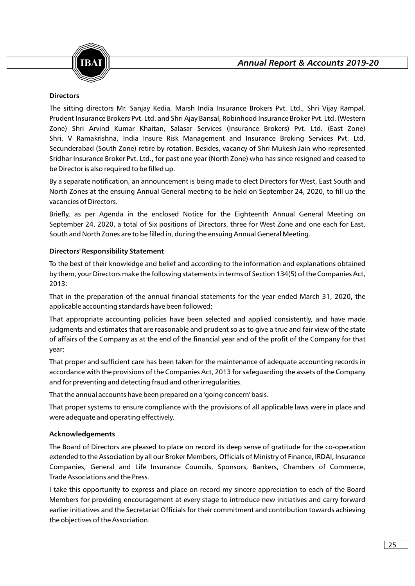



# **Directors**

The sitting directors Mr. Sanjay Kedia, Marsh India Insurance Brokers Pvt. Ltd., Shri Vijay Rampal, Prudent Insurance Brokers Pvt. Ltd. and Shri Ajay Bansal, Robinhood Insurance Broker Pvt. Ltd. (Western Zone) Shri Arvind Kumar Khaitan, Salasar Services (Insurance Brokers) Pvt. Ltd. (East Zone) Shri. V Ramakrishna, India Insure Risk Management and Insurance Broking Services Pvt. Ltd, Secunderabad (South Zone) retire by rotation. Besides, vacancy of Shri Mukesh Jain who represented Sridhar Insurance Broker Pvt. Ltd., for past one year (North Zone) who has since resigned and ceased to be Director is also required to be filled up.

By a separate notification, an announcement is being made to elect Directors for West, East South and North Zones at the ensuing Annual General meeting to be held on September 24, 2020, to fill up the vacancies of Directors.

Briefly, as per Agenda in the enclosed Notice for the Eighteenth Annual General Meeting on September 24, 2020, a total of Six positions of Directors, three for West Zone and one each for East, South and North Zones are to be filled in, during the ensuing Annual General Meeting.

# **Directors' Responsibility Statement**

To the best of their knowledge and belief and according to the information and explanations obtained by them, your Directors make the following statements in terms of Section 134(5) of the Companies Act, 2013:

That in the preparation of the annual financial statements for the year ended March 31, 2020, the applicable accounting standards have been followed;

That appropriate accounting policies have been selected and applied consistently, and have made judgments and estimates that are reasonable and prudent so as to give a true and fair view of the state of affairs of the Company as at the end of the financial year and of the profit of the Company for that year;

That proper and sufficient care has been taken for the maintenance of adequate accounting records in accordance with the provisions of the Companies Act, 2013 for safeguarding the assets of the Company and for preventing and detecting fraud and other irregularities.

That the annual accounts have been prepared on a 'going concern' basis.

That proper systems to ensure compliance with the provisions of all applicable laws were in place and were adequate and operating effectively.

# **Acknowledgements**

The Board of Directors are pleased to place on record its deep sense of gratitude for the co-operation extended to the Association by all our Broker Members, Officials of Ministry of Finance, IRDAI, Insurance Companies, General and Life Insurance Councils, Sponsors, Bankers, Chambers of Commerce, Trade Associations and the Press.

I take this opportunity to express and place on record my sincere appreciation to each of the Board Members for providing encouragement at every stage to introduce new initiatives and carry forward earlier initiatives and the Secretariat Officials for their commitment and contribution towards achieving the objectives of the Association.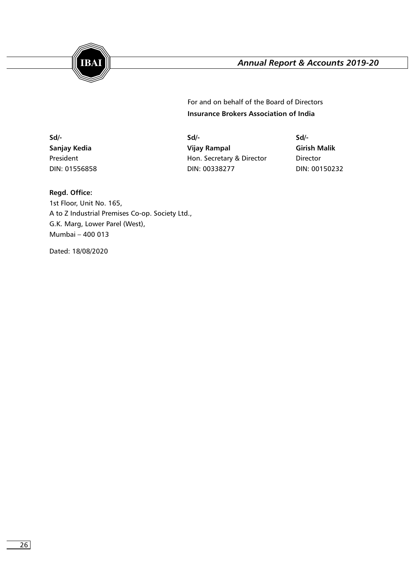

**Insurance Brokers Association of India**  For and on behalf of the Board of Directors

**Sd/- Sd/- Sd/- Sanjay Kedia Vijay Rampal Girish Malik** President **President Hon. Secretary & Director Director** DIN: 01556858 DIN: 00338277 DIN: 00150232

# **Regd. Office:**

1st Floor, Unit No. 165, A to Z Industrial Premises Co-op. Society Ltd., G.K. Marg, Lower Parel (West), Mumbai – 400 013

Dated: 18/08/2020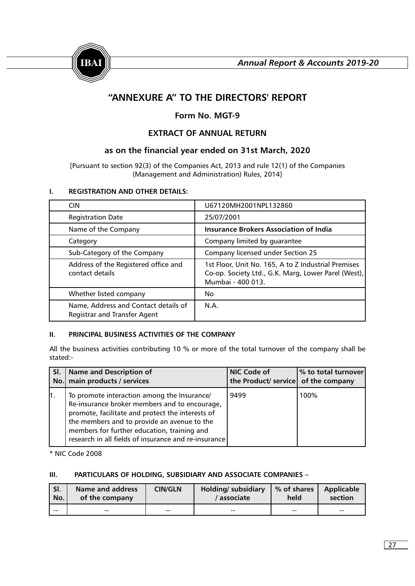

# **"ANNEXURE A" TO THE DIRECTORS' REPORT**

# **Form No. MGT-9**

# **EXTRACT OF ANNUAL RETURN**

# **as on the financial year ended on 31st March, 2020**

[Pursuant to section 92(3) of the Companies Act, 2013 and rule 12(1) of the Companies (Management and Administration) Rules, 2014]

# **I. REGISTRATION AND OTHER DETAILS:**

| <b>CIN</b>                                                                  | U67120MH2001NPL132860                                                                                                           |
|-----------------------------------------------------------------------------|---------------------------------------------------------------------------------------------------------------------------------|
| <b>Registration Date</b>                                                    | 25/07/2001                                                                                                                      |
| Name of the Company                                                         | <b>Insurance Brokers Association of India</b>                                                                                   |
| Category                                                                    | Company limited by guarantee                                                                                                    |
| Sub-Category of the Company                                                 | Company licensed under Section 25                                                                                               |
| Address of the Registered office and<br>contact details                     | 1st Floor, Unit No. 165, A to Z Industrial Premises<br>Co-op. Society Ltd., G.K. Marg, Lower Parel (West),<br>Mumbai - 400 013. |
| Whether listed company                                                      | No.                                                                                                                             |
| Name, Address and Contact details of<br><b>Registrar and Transfer Agent</b> | N.A.                                                                                                                            |

#### **II. PRINCIPAL BUSINESS ACTIVITIES OF THE COMPANY**

All the business activities contributing 10 % or more of the total turnover of the company shall be stated:-

| SI. | <b>Name and Description of</b><br>No. main products / services                                                                                                                                                                                                                                         | <b>NIC Code of</b><br>the Product/ service of the company | % to total turnover |
|-----|--------------------------------------------------------------------------------------------------------------------------------------------------------------------------------------------------------------------------------------------------------------------------------------------------------|-----------------------------------------------------------|---------------------|
| ‼.  | To promote interaction among the Insurance/<br>Re-insurance broker members and to encourage,<br>promote, facilitate and protect the interests of<br>the members and to provide an avenue to the<br>members for further education, training and<br>research in all fields of insurance and re-insurance | 9499                                                      | 100%                |

\* NIC Code 2008

# **III. PARTICULARS OF HOLDING, SUBSIDIARY AND ASSOCIATE COMPANIES –**

| SI.   | Name and address | <b>CIN/GLN</b> | <b>Holding</b> / subsidiary | % of shares | <b>Applicable</b> |
|-------|------------------|----------------|-----------------------------|-------------|-------------------|
| No.   | of the company   |                | ' associate                 | held        | section           |
| $- -$ | $- -$            | $- -$          | $- -$                       | $- -$       | $- -$             |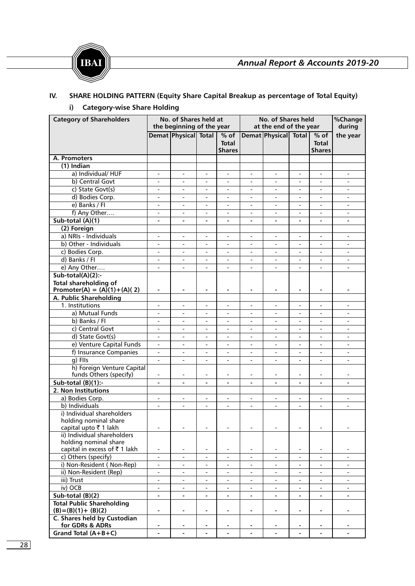



# **IV. SHARE HOLDING PATTERN (Equity Share Capital Breakup as percentage of Total Equity) i) Category-wise Share Holding**

| <b>Category of Shareholders</b>               |                                                      | No. of Shares held at<br>the beginning of the year   |                                                      |                                         | No. of Shares held<br>at the end of the year |                              |                                                      | %Change<br>during                       |                                                      |
|-----------------------------------------------|------------------------------------------------------|------------------------------------------------------|------------------------------------------------------|-----------------------------------------|----------------------------------------------|------------------------------|------------------------------------------------------|-----------------------------------------|------------------------------------------------------|
|                                               |                                                      | Demat Physical Total                                 |                                                      | $%$ of<br><b>Total</b><br><b>Shares</b> |                                              | Demat Physical Total         |                                                      | $%$ of<br><b>Total</b><br><b>Shares</b> | the year                                             |
| A. Promoters                                  |                                                      |                                                      |                                                      |                                         |                                              |                              |                                                      |                                         |                                                      |
| $(1)$ Indian                                  |                                                      |                                                      |                                                      |                                         |                                              |                              |                                                      |                                         |                                                      |
| a) Individual/HUF                             | $\overline{\phantom{a}}$                             | $\overline{\phantom{a}}$                             | $\overline{\phantom{a}}$                             | $\overline{\phantom{a}}$                | $\overline{\phantom{a}}$                     | $\overline{\phantom{a}}$     | $\frac{1}{2}$                                        | $\overline{\phantom{a}}$                | $\overline{\phantom{a}}$                             |
| b) Central Govt                               | $\overline{\phantom{a}}$                             | $\overline{\phantom{a}}$                             | $\overline{\phantom{a}}$                             | $\overline{\phantom{0}}$                |                                              | $\overline{\phantom{a}}$     | $\qquad \qquad \blacksquare$                         | $\overline{\phantom{a}}$                | $\blacksquare$                                       |
| c) State Govt(s)                              | $\overline{\phantom{m}}$                             | $\overline{\phantom{a}}$                             | $\overline{\phantom{a}}$                             |                                         | $\overline{\phantom{0}}$                     | $\overline{\phantom{m}}$     | $\overline{\phantom{0}}$                             |                                         | $\overline{\phantom{a}}$                             |
| d) Bodies Corp.                               | $\overline{\phantom{a}}$                             | $\overline{\phantom{a}}$                             | $\overline{\phantom{a}}$                             | $\overline{\phantom{a}}$                | $\overline{\phantom{a}}$                     | $\overline{a}$               | $\qquad \qquad \blacksquare$                         | $\overline{\phantom{a}}$                | $\overline{\phantom{0}}$                             |
| e) Banks / Fl                                 | $\overline{\phantom{a}}$                             | $\overline{\phantom{a}}$                             | $\overline{\phantom{a}}$                             | $\blacksquare$                          |                                              |                              | $\overline{\phantom{a}}$                             | $\blacksquare$                          | $\overline{\phantom{a}}$                             |
| f) Any Other                                  | $\overline{\phantom{m}}$                             | $\overline{\phantom{a}}$                             | $\overline{\phantom{a}}$                             | $\overline{\phantom{a}}$                |                                              | L,                           | $\overline{\phantom{a}}$                             | $\overline{\phantom{a}}$                | $\overline{\phantom{a}}$                             |
| Sub-total $(A)(1)$                            | $\blacksquare$                                       | $\blacksquare$                                       | $\blacksquare$                                       | $\blacksquare$                          | $\blacksquare$                               | $\blacksquare$               | $\blacksquare$                                       | $\blacksquare$                          | $\blacksquare$                                       |
| (2) Foreign                                   |                                                      |                                                      |                                                      |                                         |                                              |                              |                                                      |                                         |                                                      |
| a) NRIs - Individuals                         | $\overline{\phantom{a}}$                             | $\overline{\phantom{a}}$                             | $\overline{\phantom{a}}$                             | $\overline{\phantom{a}}$                | $\overline{\phantom{a}}$                     | $\overline{\phantom{a}}$     | -                                                    | $\overline{\phantom{a}}$                | $\overline{\phantom{a}}$                             |
| b) Other - Individuals                        |                                                      |                                                      |                                                      |                                         |                                              |                              |                                                      |                                         |                                                      |
| c) Bodies Corp.                               |                                                      |                                                      |                                                      |                                         |                                              |                              |                                                      |                                         |                                                      |
| d) Banks / Fl                                 | $\overline{\phantom{a}}$<br>$\overline{\phantom{a}}$ | $\overline{\phantom{a}}$<br>$\overline{\phantom{a}}$ | $\overline{\phantom{a}}$<br>$\overline{\phantom{a}}$ | $\overline{\phantom{a}}$                | $\overline{\phantom{a}}$                     | $\overline{\phantom{a}}$     | $\overline{\phantom{a}}$<br>$\overline{\phantom{0}}$ | $\blacksquare$                          | $\overline{\phantom{a}}$<br>$\overline{\phantom{0}}$ |
|                                               |                                                      |                                                      |                                                      |                                         |                                              |                              |                                                      |                                         |                                                      |
| e) Any Other                                  |                                                      |                                                      |                                                      |                                         |                                              |                              |                                                      |                                         |                                                      |
| $Sub-total(A)(2)$ :-<br>Total shareholding of |                                                      |                                                      |                                                      |                                         |                                              |                              |                                                      |                                         |                                                      |
| Promoter(A) = $(A)(1)+(A)(2)$                 |                                                      | $\blacksquare$                                       | $\blacksquare$                                       | $\blacksquare$                          | $\qquad \qquad \blacksquare$                 |                              | $\blacksquare$                                       | $\blacksquare$                          |                                                      |
| A. Public Shareholding                        |                                                      |                                                      |                                                      |                                         |                                              |                              |                                                      |                                         |                                                      |
| 1. Institutions                               | $\overline{a}$                                       | $\overline{\phantom{a}}$                             | $\blacksquare$                                       | $\overline{\phantom{a}}$                | $\overline{\phantom{a}}$                     | $\overline{a}$               | $\overline{\phantom{0}}$                             | $\overline{\phantom{a}}$                | $\overline{\phantom{a}}$                             |
| a) Mutual Funds                               |                                                      |                                                      |                                                      |                                         |                                              |                              |                                                      |                                         |                                                      |
| b) Banks / Fl                                 | $\overline{a}$                                       | $\blacksquare$                                       | $\blacksquare$                                       | $\overline{a}$                          | $\blacksquare$                               | $\overline{a}$               | $\overline{\phantom{0}}$                             | $\overline{a}$                          | $\blacksquare$                                       |
| c) Central Govt                               | $\overline{\phantom{a}}$                             | $\overline{\phantom{a}}$                             | $\overline{\phantom{a}}$                             | $\blacksquare$                          | $\overline{\phantom{a}}$                     | $\overline{\phantom{a}}$     | $\overline{\phantom{0}}$                             | $\overline{\phantom{a}}$                | $\overline{\phantom{a}}$                             |
| d) State Govt(s)                              | $\overline{\phantom{a}}$                             | $\overline{\phantom{a}}$                             | $\overline{\phantom{a}}$                             | $\overline{\phantom{a}}$                |                                              | $\qquad \qquad \blacksquare$ | $\overline{\phantom{a}}$                             | $\overline{\phantom{a}}$                | $\overline{\phantom{a}}$                             |
| e) Venture Capital Funds                      |                                                      |                                                      | $\overline{\phantom{a}}$                             |                                         |                                              | $\overline{a}$               | $\overline{\phantom{0}}$                             |                                         |                                                      |
| f) Insurance Companies                        | $\overline{\phantom{a}}$                             | $\overline{\phantom{a}}$                             | $\overline{\phantom{a}}$                             |                                         | $\overline{\phantom{a}}$                     | $\overline{\phantom{m}}$     | $\overline{\phantom{0}}$                             |                                         | $\overline{\phantom{a}}$                             |
| $q)$ FIIs                                     |                                                      | $\overline{\phantom{a}}$                             | $\overline{\phantom{a}}$                             | $\overline{a}$                          | $\overline{\phantom{a}}$                     | L,                           | $\overline{\phantom{0}}$                             | $\overline{\phantom{a}}$                | $\overline{\phantom{a}}$                             |
| h) Foreign Venture Capital                    |                                                      |                                                      |                                                      |                                         |                                              |                              |                                                      |                                         |                                                      |
| funds Others (specify)                        | $\overline{\phantom{a}}$                             | $\overline{\phantom{a}}$                             | $\overline{\phantom{a}}$                             | $\overline{\phantom{a}}$                | $\overline{\phantom{a}}$                     | $\overline{\phantom{a}}$     | $\frac{1}{2}$                                        | $\overline{\phantom{a}}$                | $\overline{\phantom{a}}$                             |
| Sub-total $(B)(1)$ :-                         | $\qquad \qquad \blacksquare$                         | $\blacksquare$                                       | $\blacksquare$                                       | $\blacksquare$                          | $\blacksquare$                               | -                            |                                                      | $\blacksquare$                          | $\blacksquare$                                       |
| 2. Non Institutions                           |                                                      |                                                      |                                                      |                                         |                                              |                              |                                                      |                                         |                                                      |
| a) Bodies Corp.                               | $\overline{\phantom{a}}$                             | $\overline{\phantom{a}}$                             | $\overline{\phantom{a}}$                             | $\overline{\phantom{a}}$                | $\overline{\phantom{a}}$                     | $\qquad \qquad \blacksquare$ | $\overline{\phantom{0}}$                             | $\blacksquare$                          | $\overline{\phantom{a}}$                             |
| b) Individuals                                | $\overline{a}$                                       | $\blacksquare$                                       | $\overline{\phantom{a}}$                             | $\overline{\phantom{a}}$                | $\overline{\phantom{a}}$                     | $\overline{\phantom{a}}$     | $\qquad \qquad \blacksquare$                         | $\overline{\phantom{a}}$                | $\overline{\phantom{a}}$                             |
| i) Individual shareholders                    |                                                      |                                                      |                                                      |                                         |                                              |                              |                                                      |                                         |                                                      |
| holding nominal share                         |                                                      |                                                      |                                                      |                                         |                                              |                              |                                                      |                                         |                                                      |
| capital upto ₹1 lakh                          |                                                      | $\overline{\phantom{a}}$                             | $\overline{\phantom{a}}$                             |                                         | $\overline{\phantom{a}}$                     |                              |                                                      | $\overline{\phantom{a}}$                | $\overline{\phantom{a}}$                             |
| ii) Individual shareholders                   |                                                      |                                                      |                                                      |                                         |                                              |                              |                                                      |                                         |                                                      |
| holding nominal share                         |                                                      |                                                      |                                                      |                                         |                                              |                              |                                                      |                                         |                                                      |
| capital in excess of ₹1 lakh                  |                                                      |                                                      | $\overline{\phantom{a}}$                             | $\overline{\phantom{a}}$                | $\overline{\phantom{a}}$                     | $\overline{\phantom{a}}$     | -                                                    | $\overline{\phantom{a}}$                |                                                      |
| c) Others (specify)                           |                                                      | $\overline{\phantom{a}}$                             | $\overline{\phantom{a}}$                             | $\overline{\phantom{a}}$                |                                              | L,                           | $\overline{\phantom{0}}$                             | $\overline{\phantom{a}}$                | $\overline{\phantom{a}}$                             |
| i) Non-Resident (Non-Rep)                     | $\overline{\phantom{a}}$                             | $\blacksquare$                                       | $\blacksquare$                                       | $\overline{\phantom{a}}$                |                                              | $\overline{\phantom{a}}$     |                                                      | $\overline{\phantom{a}}$                | $\overline{\phantom{a}}$                             |
| ii) Non-Resident (Rep)                        |                                                      |                                                      | $\overline{\phantom{a}}$                             |                                         |                                              |                              |                                                      | $\overline{\phantom{a}}$                |                                                      |
| iii) Trust                                    | $\blacksquare$                                       | $\mathbf{r}$                                         | $\blacksquare$                                       | $\blacksquare$                          | $\blacksquare$                               | $\overline{a}$               |                                                      | $\mathbf{r}$                            | $\overline{\phantom{a}}$                             |
| iv) OCB                                       | $\blacksquare$                                       | $\blacksquare$                                       | $\overline{\phantom{a}}$                             | $\overline{\phantom{a}}$                | $\blacksquare$                               | $\overline{\phantom{a}}$     | $\overline{\phantom{0}}$                             | $\overline{\phantom{a}}$                | $\overline{\phantom{a}}$                             |
| Sub-total (B)(2)                              | $\blacksquare$                                       | $\blacksquare$                                       | $\blacksquare$                                       | $\blacksquare$                          | $\blacksquare$                               | $\qquad \qquad \blacksquare$ | $\blacksquare$                                       | $\blacksquare$                          | $\blacksquare$                                       |
| <b>Total Public Shareholding</b>              |                                                      |                                                      |                                                      |                                         |                                              |                              |                                                      |                                         |                                                      |
| $(B) = (B)(1) + (B)(2)$                       | $\blacksquare$                                       | $\blacksquare$                                       | $\blacksquare$                                       | $\blacksquare$                          | $\blacksquare$                               | $\blacksquare$               | ۰.                                                   | $\blacksquare$                          |                                                      |
| C. Shares held by Custodian                   |                                                      |                                                      |                                                      |                                         |                                              |                              |                                                      |                                         |                                                      |
| for GDRs & ADRs                               | $\blacksquare$                                       | $\blacksquare$                                       | $\blacksquare$                                       | $\blacksquare$                          | $\blacksquare$                               | $\blacksquare$               | $\blacksquare$                                       | $\blacksquare$                          |                                                      |
| Grand Total $(A+B+C)$                         | $\blacksquare$                                       | $\blacksquare$                                       | $\blacksquare$                                       | $\blacksquare$                          | $\blacksquare$                               | $\blacksquare$               | $\blacksquare$                                       | $\blacksquare$                          |                                                      |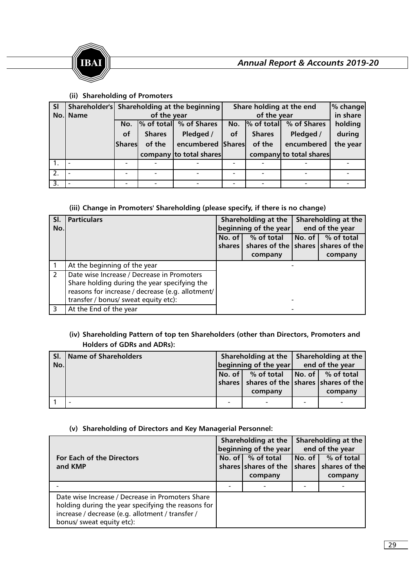



# **(ii) Shareholding of Promoters**

| SI               |          | Shareholder's Shareholding at the beginning |               |                         | Share holding at the end | % change      |                         |          |
|------------------|----------|---------------------------------------------|---------------|-------------------------|--------------------------|---------------|-------------------------|----------|
|                  | No. Name |                                             | of the year   |                         |                          | of the year   | in share                |          |
|                  |          | No.                                         |               | % of total % of Shares  | No.                      | $%$ of total  | % of Shares             | holding  |
|                  |          | οf                                          | <b>Shares</b> | Pledged /               | of                       | <b>Shares</b> | Pledged /               | during   |
|                  |          | Shares                                      | of the        | encumbered Shares       |                          | of the        | encumbered              | the year |
|                  |          |                                             |               | company to total shares |                          |               | company to total shares |          |
| $\mathbf{1}$ .   |          |                                             |               |                         |                          |               |                         |          |
| $\overline{2}$ . |          |                                             |               |                         |                          |               |                         |          |
| $\overline{3}$ . |          |                                             |               |                         |                          |               |                         |          |

# **(iii) Change in Promoters' Shareholding (please specify, if there is no change)**

| SI.<br>No.     | <b>Particulars</b>                               | Shareholding at the<br>beginning of the year |                                                                   | Shareholding at the<br>end of the year |            |
|----------------|--------------------------------------------------|----------------------------------------------|-------------------------------------------------------------------|----------------------------------------|------------|
|                |                                                  | No. of                                       | % of total                                                        | $No. of \sqrt{ }$                      | % of total |
|                |                                                  |                                              | shares $\vert$ shares of the $\vert$ shares $\vert$ shares of the |                                        |            |
|                |                                                  |                                              | company                                                           |                                        | company    |
|                | At the beginning of the year                     |                                              |                                                                   |                                        |            |
| $\overline{2}$ | Date wise Increase / Decrease in Promoters       |                                              |                                                                   |                                        |            |
|                | Share holding during the year specifying the     |                                              |                                                                   |                                        |            |
|                | reasons for increase / decrease (e.g. allotment/ |                                              |                                                                   |                                        |            |
|                | transfer / bonus/ sweat equity etc):             |                                              |                                                                   |                                        |            |
| 3              | At the End of the year                           |                                              |                                                                   |                                        |            |

# **(iv) Shareholding Pattern of top ten Shareholders (other than Directors, Promoters and Holders of GDRs and ADRs):**

| SI.<br>No. | Name of Shareholders |   | Shareholding at the<br>beginning of the year                                              | Shareholding at the<br>end of the year |                                                                          |  |
|------------|----------------------|---|-------------------------------------------------------------------------------------------|----------------------------------------|--------------------------------------------------------------------------|--|
|            |                      |   | No. of $\vert$ % of total<br>shares   shares of the   shares   shares of the  <br>company |                                        | $\begin{array}{ c c c }\n\hline\nNo. of \end{array} of total$<br>company |  |
|            | -                    | - | $\overline{\phantom{0}}$                                                                  | ۰                                      |                                                                          |  |

# **(v) Shareholding of Directors and Key Managerial Personnel:**

|                                                                                                                                                                                         | Shareholding at the<br>beginning of the year | Shareholding at the<br>end of the year |                          |  |
|-----------------------------------------------------------------------------------------------------------------------------------------------------------------------------------------|----------------------------------------------|----------------------------------------|--------------------------|--|
| For Each of the Directors                                                                                                                                                               | No. of $\vert$ % of total                    | No. of I                               | % of total               |  |
| and KMP                                                                                                                                                                                 | shares shares of the                         |                                        | shares $ $ shares of the |  |
|                                                                                                                                                                                         | company                                      |                                        | company                  |  |
|                                                                                                                                                                                         |                                              |                                        |                          |  |
| Date wise Increase / Decrease in Promoters Share<br>holding during the year specifying the reasons for<br>increase / decrease (e.g. allotment / transfer /<br>bonus/ sweat equity etc): |                                              |                                        |                          |  |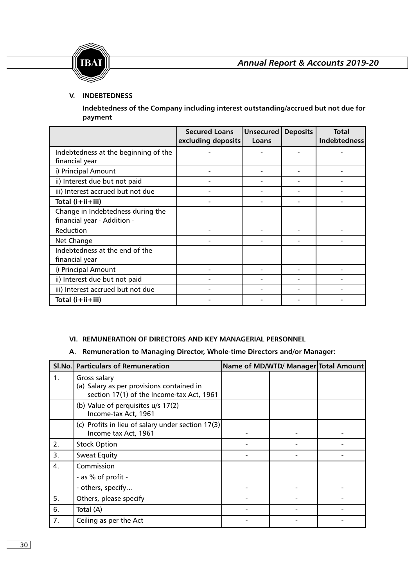

# **V. INDEBTEDNESS**

**Indebtedness of the Company including interest outstanding/accrued but not due for payment**

|                                      | <b>Secured Loans</b><br>excluding deposits | Unsecured<br>Loans | <b>Deposits</b> | <b>Total</b><br><b>Indebtedness</b> |
|--------------------------------------|--------------------------------------------|--------------------|-----------------|-------------------------------------|
| Indebtedness at the beginning of the |                                            |                    |                 |                                     |
| financial year                       |                                            |                    |                 |                                     |
| i) Principal Amount                  |                                            |                    |                 |                                     |
| ii) Interest due but not paid        |                                            |                    |                 |                                     |
| iii) Interest accrued but not due    |                                            |                    |                 |                                     |
| Total (i+ii+iii)                     |                                            |                    |                 |                                     |
| Change in Indebtedness during the    |                                            |                    |                 |                                     |
| financial year · Addition ·          |                                            |                    |                 |                                     |
| Reduction                            |                                            |                    |                 |                                     |
| Net Change                           |                                            |                    |                 |                                     |
| Indebtedness at the end of the       |                                            |                    |                 |                                     |
| financial year                       |                                            |                    |                 |                                     |
| i) Principal Amount                  |                                            |                    |                 |                                     |
| ii) Interest due but not paid        |                                            |                    |                 |                                     |
| iii) Interest accrued but not due    |                                            |                    |                 |                                     |
| Total (i+ii+iii)                     |                                            |                    |                 |                                     |

# **VI. REMUNERATION OF DIRECTORS AND KEY MANAGERIAL PERSONNEL**

# **A. Remuneration to Managing Director, Whole-time Directors and/or Manager:**

|    | SI.No. Particulars of Remuneration                                                                     | Name of MD/WTD/ Manager Total Amount |  |
|----|--------------------------------------------------------------------------------------------------------|--------------------------------------|--|
| 1. | Gross salary<br>(a) Salary as per provisions contained in<br>section 17(1) of the Income-tax Act, 1961 |                                      |  |
|    | (b) Value of perquisites u/s 17(2)<br>Income-tax Act, 1961                                             |                                      |  |
|    | (c) Profits in lieu of salary under section 17(3)<br>Income tax Act, 1961                              |                                      |  |
| 2. | <b>Stock Option</b>                                                                                    |                                      |  |
| 3. | <b>Sweat Equity</b>                                                                                    |                                      |  |
| 4. | Commission                                                                                             |                                      |  |
|    | - as % of profit -                                                                                     |                                      |  |
|    | - others, specify                                                                                      |                                      |  |
| 5. | Others, please specify                                                                                 |                                      |  |
| 6. | Total (A)                                                                                              |                                      |  |
| 7. | Ceiling as per the Act                                                                                 |                                      |  |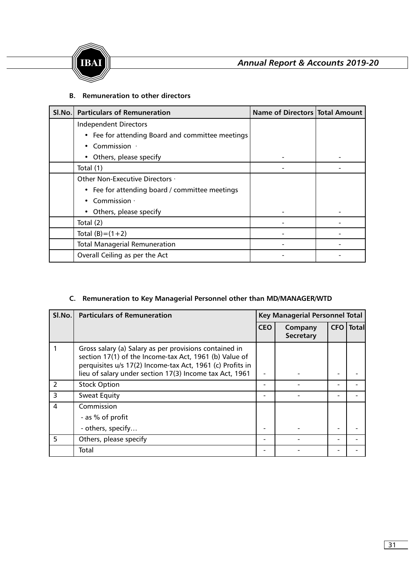

# **B. Remuneration to other directors**

| SI.No. | <b>Particulars of Remuneration</b>               | Name of Directors   Total Amount |  |
|--------|--------------------------------------------------|----------------------------------|--|
|        | Independent Directors                            |                                  |  |
|        | • Fee for attending Board and committee meetings |                                  |  |
|        | Commission $\cdot$                               |                                  |  |
|        | Others, please specify                           |                                  |  |
|        | Total (1)                                        |                                  |  |
|        | Other Non-Executive Directors ·                  |                                  |  |
|        | • Fee for attending board / committee meetings   |                                  |  |
|        | Commission $\cdot$                               |                                  |  |
|        | Others, please specify                           |                                  |  |
|        | Total (2)                                        |                                  |  |
|        | Total $(B)=(1+2)$                                |                                  |  |
|        | <b>Total Managerial Remuneration</b>             |                                  |  |
|        | Overall Ceiling as per the Act                   |                                  |  |

# **C. Remuneration to Key Managerial Personnel other than MD/MANAGER/WTD**

| SI.No.                  | <b>Particulars of Remuneration</b>                                                                                                                                                                                                       | <b>Key Managerial Personnel Total</b> |                             |            |              |
|-------------------------|------------------------------------------------------------------------------------------------------------------------------------------------------------------------------------------------------------------------------------------|---------------------------------------|-----------------------------|------------|--------------|
|                         |                                                                                                                                                                                                                                          | <b>CEO</b>                            | Company<br><b>Secretary</b> | <b>CFO</b> | <b>Total</b> |
|                         | Gross salary (a) Salary as per provisions contained in<br>section 17(1) of the Income-tax Act, 1961 (b) Value of<br>perquisites u/s 17(2) Income-tax Act, 1961 (c) Profits in<br>lieu of salary under section 17(3) Income tax Act, 1961 |                                       |                             |            |              |
| $\overline{\mathbf{2}}$ | <b>Stock Option</b>                                                                                                                                                                                                                      |                                       |                             |            |              |
| 3                       | <b>Sweat Equity</b>                                                                                                                                                                                                                      |                                       |                             |            |              |
| 4                       | Commission<br>- as % of profit<br>- others, specify                                                                                                                                                                                      |                                       |                             |            |              |
| 5                       | Others, please specify                                                                                                                                                                                                                   |                                       |                             |            |              |
|                         | Total                                                                                                                                                                                                                                    |                                       |                             |            |              |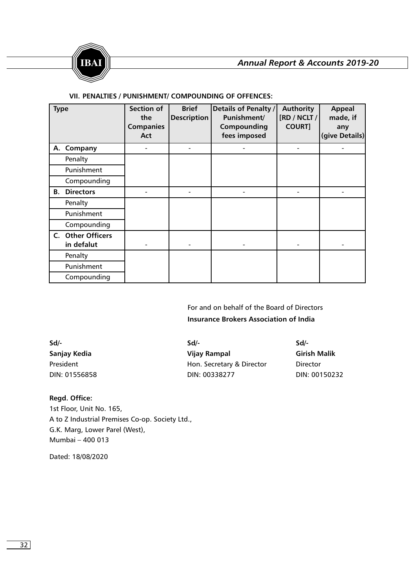

# **VII. PENALTIES / PUNISHMENT/ COMPOUNDING OF OFFENCES:**

| <b>Type</b> |                   | <b>Section of</b><br>the<br><b>Companies</b><br>Act | <b>Brief</b><br><b>Description</b> | Details of Penalty /<br>Punishment/<br>Compounding<br>fees imposed | Authority<br>[RD / NCLT /<br><b>COURT]</b> | Appeal<br>made, if<br>any<br>(give Details) |
|-------------|-------------------|-----------------------------------------------------|------------------------------------|--------------------------------------------------------------------|--------------------------------------------|---------------------------------------------|
|             | A. Company        |                                                     |                                    |                                                                    |                                            |                                             |
|             |                   |                                                     |                                    |                                                                    |                                            |                                             |
|             | Penalty           |                                                     |                                    |                                                                    |                                            |                                             |
|             | Punishment        |                                                     |                                    |                                                                    |                                            |                                             |
|             | Compounding       |                                                     |                                    |                                                                    |                                            |                                             |
| В.          | <b>Directors</b>  |                                                     |                                    |                                                                    |                                            |                                             |
|             | Penalty           |                                                     |                                    |                                                                    |                                            |                                             |
|             | Punishment        |                                                     |                                    |                                                                    |                                            |                                             |
|             | Compounding       |                                                     |                                    |                                                                    |                                            |                                             |
|             | C. Other Officers |                                                     |                                    |                                                                    |                                            |                                             |
|             | in defalut        |                                                     |                                    |                                                                    |                                            |                                             |
|             | Penalty           |                                                     |                                    |                                                                    |                                            |                                             |
|             | Punishment        |                                                     |                                    |                                                                    |                                            |                                             |
|             | Compounding       |                                                     |                                    |                                                                    |                                            |                                             |

# **Insurance Brokers Association of India**  For and on behalf of the Board of Directors

| Sd/-          | $Sd$ /-                   | Sd                  |
|---------------|---------------------------|---------------------|
| Sanjay Kedia  | Vijay Rampal              | <b>Girish Malik</b> |
| President     | Hon. Secretary & Director | Director            |
| DIN: 01556858 | DIN: 00338277             | DIN: 00150232       |

# **Regd. Office:**

1st Floor, Unit No. 165, A to Z Industrial Premises Co-op. Society Ltd., G.K. Marg, Lower Parel (West), Mumbai – 400 013

Dated: 18/08/2020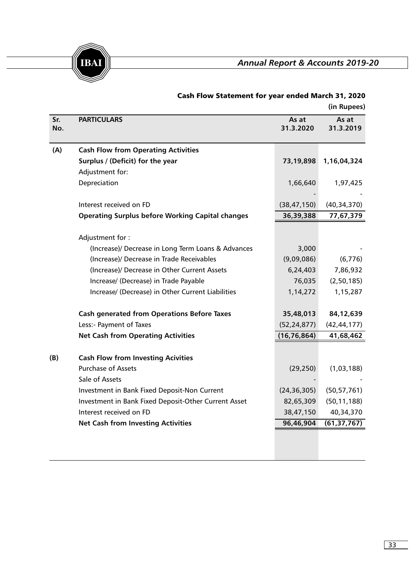

|            |                                                         |                    | (in Rupees)        |
|------------|---------------------------------------------------------|--------------------|--------------------|
| Sr.<br>No. | <b>PARTICULARS</b>                                      | As at<br>31.3.2020 | As at<br>31.3.2019 |
| (A)        | <b>Cash Flow from Operating Activities</b>              |                    |                    |
|            | Surplus / (Deficit) for the year                        | 73,19,898          | 1,16,04,324        |
|            | Adjustment for:                                         |                    |                    |
|            | Depreciation                                            | 1,66,640           | 1,97,425           |
|            |                                                         |                    |                    |
|            | Interest received on FD                                 | (38, 47, 150)      | (40, 34, 370)      |
|            | <b>Operating Surplus before Working Capital changes</b> | 36,39,388          | 77,67,379          |
|            | Adjustment for:                                         |                    |                    |
|            | (Increase)/ Decrease in Long Term Loans & Advances      | 3,000              |                    |
|            | (Increase)/ Decrease in Trade Receivables               | (9,09,086)         | (6,776)            |
|            | (Increase)/ Decrease in Other Current Assets            | 6,24,403           | 7,86,932           |
|            | Increase/ (Decrease) in Trade Payable                   | 76,035             | (2, 50, 185)       |
|            | Increase/ (Decrease) in Other Current Liabilities       | 1,14,272           | 1,15,287           |
|            | <b>Cash generated from Operations Before Taxes</b>      | 35,48,013          | 84,12,639          |
|            | Less:- Payment of Taxes                                 | (52, 24, 877)      | (42, 44, 177)      |
|            | <b>Net Cash from Operating Activities</b>               | (16, 76, 864)      | 41,68,462          |
| (B)        | <b>Cash Flow from Investing Acivities</b>               |                    |                    |
|            | <b>Purchase of Assets</b>                               | (29, 250)          | (1,03,188)         |
|            | Sale of Assets                                          |                    |                    |
|            | Investment in Bank Fixed Deposit-Non Current            | (24, 36, 305)      | (50, 57, 761)      |
|            | Investment in Bank Fixed Deposit-Other Current Asset    | 82,65,309          | (50, 11, 188)      |
|            | Interest received on FD                                 | 38,47,150          | 40,34,370          |
|            | <b>Net Cash from Investing Activities</b>               | 96,46,904          | (61, 37, 767)      |
|            |                                                         |                    |                    |

# Cash Flow Statement for year ended March 31, 2020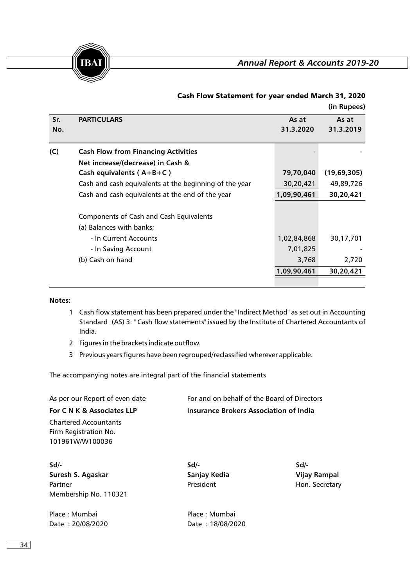

**(in Rupees)**

|     |                                                        |             | (11.14)     |
|-----|--------------------------------------------------------|-------------|-------------|
| Sr. | <b>PARTICULARS</b>                                     | As at       | As at       |
| No. |                                                        | 31.3.2020   | 31.3.2019   |
|     |                                                        |             |             |
| (C) | <b>Cash Flow from Financing Activities</b>             |             |             |
|     | Net increase/(decrease) in Cash &                      |             |             |
|     | Cash equivalents $(A+B+C)$                             | 79,70,040   | (19,69,305) |
|     | Cash and cash equivalents at the beginning of the year | 30,20,421   | 49,89,726   |
|     | Cash and cash equivalents at the end of the year       | 1,09,90,461 | 30,20,421   |
|     |                                                        |             |             |
|     | Components of Cash and Cash Equivalents                |             |             |
|     | (a) Balances with banks;                               |             |             |
|     | - In Current Accounts                                  | 1,02,84,868 | 30,17,701   |
|     | - In Saving Account                                    | 7,01,825    |             |
|     | (b) Cash on hand                                       | 3,768       | 2,720       |
|     |                                                        | 1,09,90,461 | 30,20,421   |
|     |                                                        |             |             |

# Cash Flow Statement for year ended March 31, 2020

#### **Notes:**

- 1 Cash flow statement has been prepared under the "Indirect Method" as set out in Accounting Standard (AS) 3: " Cash flow statements" issued by the Institute of Chartered Accountants of India.
- 2 Figures in the brackets indicate outflow.
- 3 Previous years figures have been regrouped/reclassified wherever applicable.

The accompanying notes are integral part of the financial statements

As per our Report of even date For and on behalf of the Board of Directors **For C N K & Associates LLP Insurance Brokers Association of India**  Chartered Accountants

Firm Registration No. 101961W/W100036

**Sd/- Sd/- Sd/- Suresh S. Agaskar Sanjay Kedia Vijay Rampal** Partner **President** President **Hon. Secretary** Membership No. 110321

Place : Mumbai Place : Mumbai Date : 20/08/2020 Date : 18/08/2020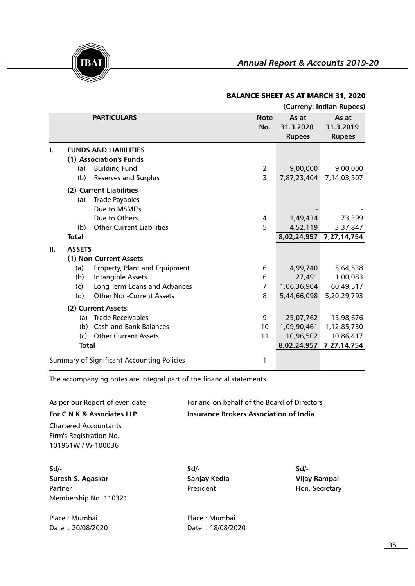

# BALANCE SHEET AS AT MARCH 31, 2020

|    |               |                                                   |                    |                                     | (Curreny: Indian Rupees)            |
|----|---------------|---------------------------------------------------|--------------------|-------------------------------------|-------------------------------------|
|    |               | <b>PARTICULARS</b>                                | <b>Note</b><br>No. | As at<br>31.3.2020<br><b>Rupees</b> | As at<br>31.3.2019<br><b>Rupees</b> |
|    |               | <b>FUNDS AND LIABILITIES</b>                      |                    |                                     |                                     |
|    |               | (1) Association's Funds                           |                    |                                     |                                     |
|    | (a)           | <b>Building Fund</b>                              | $\overline{2}$     | 9,00,000                            | 9,00,000                            |
|    | (b)           | Reserves and Surplus                              | 3                  | 7,87,23,404                         | 7,14,03,507                         |
|    |               | (2) Current Liabilities                           |                    |                                     |                                     |
|    | (a)           | <b>Trade Payables</b>                             |                    |                                     |                                     |
|    |               | Due to MSME's                                     |                    |                                     |                                     |
|    |               | Due to Others                                     | 4                  | 1,49,434                            | 73,399                              |
|    | (b)           | <b>Other Current Liabilities</b>                  | 5                  | 4,52,119                            | 3,37,847                            |
|    | <b>Total</b>  |                                                   |                    | 8,02,24,957                         | 7,27,14,754                         |
| Ш. | <b>ASSETS</b> |                                                   |                    |                                     |                                     |
|    |               | (1) Non-Current Assets                            |                    |                                     |                                     |
|    | (a)           | Property, Plant and Equipment                     | 6                  | 4,99,740                            | 5,64,538                            |
|    | (b)           | <b>Intangible Assets</b>                          | 6                  | 27,491                              | 1,00,083                            |
|    | (c)           | Long Term Loans and Advances                      | 7                  | 1,06,36,904                         | 60,49,517                           |
|    | (d)           | <b>Other Non-Current Assets</b>                   | 8                  | 5,44,66,098                         | 5,20,29,793                         |
|    |               | (2) Current Assets:                               |                    |                                     |                                     |
|    | (a)           | <b>Trade Receivables</b>                          | 9                  | 25,07,762                           | 15,98,676                           |
|    | (b)           | <b>Cash and Bank Balances</b>                     | 10                 | 1,09,90,461                         | 1,12,85,730                         |
|    | (c)           | <b>Other Current Assets</b>                       | 11                 | 10,96,502                           | 10,86,417                           |
|    | <b>Total</b>  |                                                   |                    | 8,02,24,957                         | 7,27,14,754                         |
|    |               | <b>Summary of Significant Accounting Policies</b> | 1                  |                                     |                                     |

The accompanying notes are integral part of the financial statements

As per our Report of even date For and on behalf of the Board of Directors **For C N K & Associates LLP** Chartered Accountants **Insurance Brokers Association of India** 

Firm's Registration No. 101961W / W-100036

**Sd/- Sd/- Sd/- Suresh S. Agaskar Sanjay Kedia Vijay Rampal** Partner **Partner Access President** President **Hon. Secretary** Membership No. 110321

Place : Mumbai **Place : Mumbai** Date : 20/08/2020 Date : 18/08/2020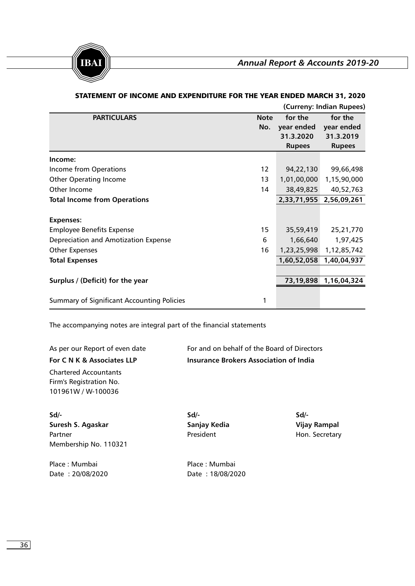

|                                                   |                    |                                                     | (Curreny: Indian Rupees)                            |
|---------------------------------------------------|--------------------|-----------------------------------------------------|-----------------------------------------------------|
| <b>PARTICULARS</b>                                | <b>Note</b><br>No. | for the<br>year ended<br>31.3.2020<br><b>Rupees</b> | for the<br>year ended<br>31.3.2019<br><b>Rupees</b> |
| Income:                                           |                    |                                                     |                                                     |
| Income from Operations                            | 12                 | 94,22,130                                           | 99,66,498                                           |
| <b>Other Operating Income</b>                     | 13                 | 1,01,00,000                                         | 1,15,90,000                                         |
| Other Income                                      | 14                 | 38,49,825                                           | 40,52,763                                           |
| <b>Total Income from Operations</b>               |                    | 2,33,71,955                                         | 2,56,09,261                                         |
| <b>Expenses:</b>                                  |                    |                                                     |                                                     |
| <b>Employee Benefits Expense</b>                  | 15                 | 35,59,419                                           | 25,21,770                                           |
| Depreciation and Amotization Expense              | 6                  | 1,66,640                                            | 1,97,425                                            |
| <b>Other Expenses</b>                             | 16                 | 1,23,25,998                                         | 1,12,85,742                                         |
| <b>Total Expenses</b>                             |                    | 1,60,52,058                                         | 1,40,04,937                                         |
|                                                   |                    |                                                     |                                                     |
| Surplus / (Deficit) for the year                  |                    | 73,19,898                                           | 1,16,04,324                                         |
| <b>Summary of Significant Accounting Policies</b> |                    |                                                     |                                                     |

# STATEMENT OF INCOME AND EXPENDITURE FOR THE YEAR ENDED MARCH 31, 2020

The accompanying notes are integral part of the financial statements

**For C N K & Associates LLP** Chartered Accountants

As per our Report of even date For and on behalf of the Board of Directors **Insurance Brokers Association of India** 

Firm's Registration No. 101961W / W-100036

**Sd/- Sd/- Sd/- Suresh S. Agaskar Sanjay Kedia Vijay Rampal** Partner **Partner Access President** President **Hon. Secretary** Membership No. 110321

Place : Mumbai Place : Mumbai Date : 20/08/2020 Date : 18/08/2020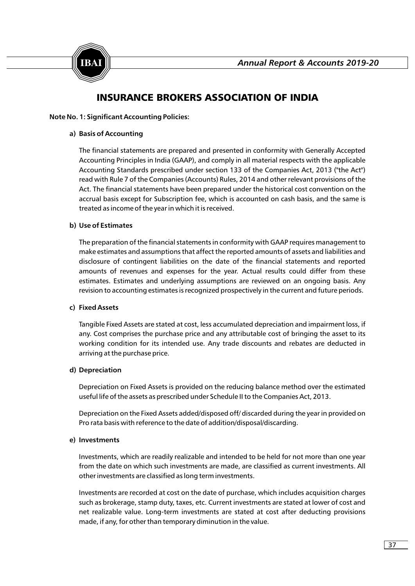

# INSURANCE BROKERS ASSOCIATION OF INDIA

#### **Note No. 1: Significant Accounting Policies:**

### **a) Basis of Accounting**

The financial statements are prepared and presented in conformity with Generally Accepted Accounting Principles in India (GAAP), and comply in all material respects with the applicable Accounting Standards prescribed under section 133 of the Companies Act, 2013 ("the Act") read with Rule 7 of the Companies (Accounts) Rules, 2014 and other relevant provisions of the Act. The financial statements have been prepared under the historical cost convention on the accrual basis except for Subscription fee, which is accounted on cash basis, and the same is treated as income of the year in which it is received.

# **b) Use of Estimates**

The preparation of the financial statements in conformity with GAAP requires management to make estimates and assumptions that affect the reported amounts of assets and liabilities and disclosure of contingent liabilities on the date of the financial statements and reported amounts of revenues and expenses for the year. Actual results could differ from these estimates. Estimates and underlying assumptions are reviewed on an ongoing basis. Any revision to accounting estimates is recognized prospectively in the current and future periods.

#### **c) Fixed Assets**

Tangible Fixed Assets are stated at cost, less accumulated depreciation and impairment loss, if any. Cost comprises the purchase price and any attributable cost of bringing the asset to its working condition for its intended use. Any trade discounts and rebates are deducted in arriving at the purchase price.

#### **d) Depreciation**

Depreciation on Fixed Assets is provided on the reducing balance method over the estimated useful life of the assets as prescribed under Schedule II to the Companies Act, 2013.

Depreciation on the Fixed Assets added/disposed off/ discarded during the year in provided on Pro rata basis with reference to the date of addition/disposal/discarding.

#### **e) Investments**

Investments, which are readily realizable and intended to be held for not more than one year from the date on which such investments are made, are classified as current investments. All other investments are classified as long term investments.

Investments are recorded at cost on the date of purchase, which includes acquisition charges such as brokerage, stamp duty, taxes, etc. Current investments are stated at lower of cost and net realizable value. Long-term investments are stated at cost after deducting provisions made, if any, for other than temporary diminution in the value.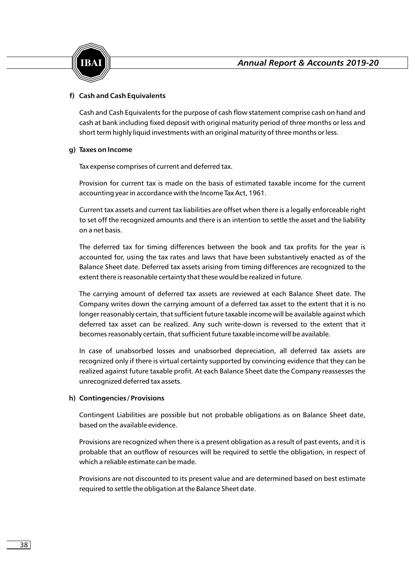

# **f) Cash and Cash Equivalents**

Cash and Cash Equivalents for the purpose of cash flow statement comprise cash on hand and cash at bank including fixed deposit with original maturity period of three months or less and short term highly liquid investments with an original maturity of three months or less.

# **g) Taxes on Income**

Tax expense comprises of current and deferred tax.

Provision for current tax is made on the basis of estimated taxable income for the current accounting year in accordance with the Income Tax Act, 1961.

Current tax assets and current tax liabilities are offset when there is a legally enforceable right to set off the recognized amounts and there is an intention to settle the asset and the liability on a net basis.

The deferred tax for timing differences between the book and tax profits for the year is accounted for, using the tax rates and laws that have been substantively enacted as of the Balance Sheet date. Deferred tax assets arising from timing differences are recognized to the extent there is reasonable certainty that these would be realized in future.

The carrying amount of deferred tax assets are reviewed at each Balance Sheet date. The Company writes down the carrying amount of a deferred tax asset to the extent that it is no longer reasonably certain, that sufficient future taxable income will be available against which deferred tax asset can be realized. Any such write-down is reversed to the extent that it becomes reasonably certain, that sufficient future taxable income will be available.

In case of unabsorbed losses and unabsorbed depreciation, all deferred tax assets are recognized only if there is virtual certainty supported by convincing evidence that they can be realized against future taxable profit. At each Balance Sheet date the Company reassesses the unrecognized deferred tax assets.

#### **h) Contingencies / Provisions**

Contingent Liabilities are possible but not probable obligations as on Balance Sheet date, based on the available evidence.

Provisions are recognized when there is a present obligation as a result of past events, and it is probable that an outflow of resources will be required to settle the obligation, in respect of which a reliable estimate can be made.

Provisions are not discounted to its present value and are determined based on best estimate required to settle the obligation at the Balance Sheet date.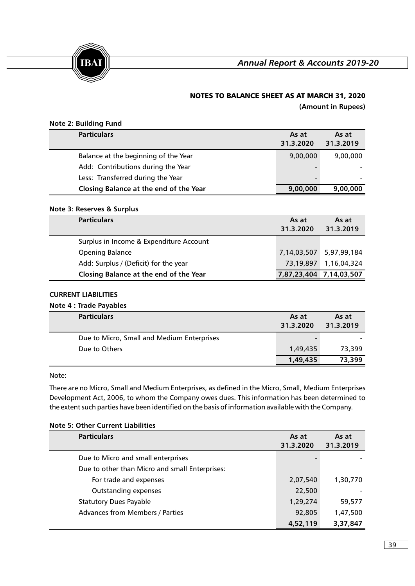

# NOTES TO BALANCE SHEET AS AT MARCH 31, 2020

**(Amount in Rupees)**

|  |  | <b>Note 2: Building Fund</b> |  |
|--|--|------------------------------|--|
|--|--|------------------------------|--|

| <b>Particulars</b>                     | As at<br>31.3.2020       | As at<br>31.3.2019 |
|----------------------------------------|--------------------------|--------------------|
| Balance at the beginning of the Year   | 9,00,000                 | 9,00,000           |
| Add: Contributions during the Year     | $\overline{\phantom{0}}$ |                    |
| Less: Transferred during the Year      | $\overline{\phantom{0}}$ |                    |
| Closing Balance at the end of the Year | 9,00,000                 | 9,00,000           |

#### **Note 3: Reserves & Surplus**

| <b>Particulars</b>                      | As at<br>31.3.2020      | As at<br>31.3.2019 |
|-----------------------------------------|-------------------------|--------------------|
| Surplus in Income & Expenditure Account |                         |                    |
| Opening Balance                         | 7,14,03,507             | 5,97,99,184        |
| Add: Surplus / (Deficit) for the year   | 73,19,897               | 1,16,04,324        |
| Closing Balance at the end of the Year  | 7,87,23,404 7,14,03,507 |                    |

# **CURRENT LIABILITIES**

#### **Note 4 : Trade Payables**

| <b>Particulars</b>                         | As at<br>31.3.2020 | As at<br>31.3.2019 |
|--------------------------------------------|--------------------|--------------------|
| Due to Micro, Small and Medium Enterprises |                    |                    |
| Due to Others                              | 1,49,435           | 73,399             |
|                                            | 1,49,435           | 73,399             |

#### Note:

There are no Micro, Small and Medium Enterprises, as defined in the Micro, Small, Medium Enterprises Development Act, 2006, to whom the Company owes dues. This information has been determined to the extent such parties have been identified on the basis of information available with the Company.

| <b>Particulars</b>                             | As at     | As at     |
|------------------------------------------------|-----------|-----------|
|                                                | 31.3.2020 | 31.3.2019 |
| Due to Micro and small enterprises             |           |           |
| Due to other than Micro and small Enterprises: |           |           |
| For trade and expenses                         | 2,07,540  | 1,30,770  |
| Outstanding expenses                           | 22,500    |           |
| <b>Statutory Dues Payable</b>                  | 1,29,274  | 59,577    |
| <b>Advances from Members / Parties</b>         | 92,805    | 1,47,500  |
|                                                | 4,52,119  | 3,37,847  |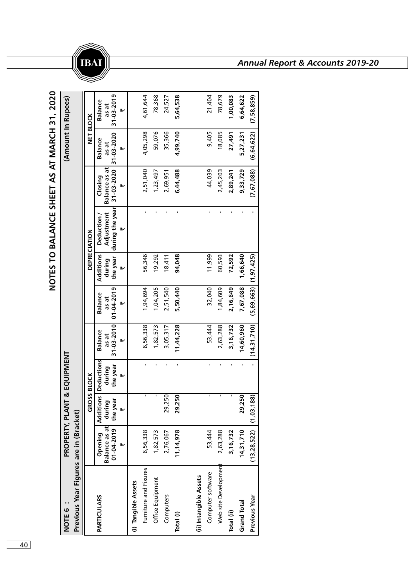

**NOTE 6 : PROPERTY, PLANT & EQUIPMENT (Amount In Rupees)** PROPERTY, PLANT & EQUIPMENT : D 31ON

(Amount In Rupees)

⊮

Ш

| Previous Year Figures are in (Bracket) |                                |                    |                                       |                         |                           |                            |                                                          |                                 |                         |                         |
|----------------------------------------|--------------------------------|--------------------|---------------------------------------|-------------------------|---------------------------|----------------------------|----------------------------------------------------------|---------------------------------|-------------------------|-------------------------|
|                                        |                                | <b>GROSS BLOCK</b> |                                       |                         |                           |                            | DEPRECIATION                                             |                                 |                         | NET BLOCK               |
| <b>PARTICULARS</b>                     | Balance as at durin<br>Opening | ፵                  | <b>Additions Deductions</b><br>during | <b>Balance</b><br>as at | <b>Balance</b><br>as at   | <b>Additions</b><br>during | Adjustment<br>Deduction                                  | <b>Balance as at</b><br>Closing | <b>Balance</b><br>as at | <b>Balance</b><br>as at |
|                                        | $01-04-2019$ the year          | ₩                  | the year<br>۱M                        | 31-03-2010<br>、         | 01-04-2019<br>₩           |                            | the year   during the year  31-03-2020   31-03-2020<br>₩ | ₩                               | ₩                       | 31-03-2019<br>、         |
| (i) Tangible Assets                    |                                |                    |                                       |                         |                           |                            |                                                          |                                 |                         |                         |
| Furniture and Fixures                  | 6,56,338                       | <b>I</b>           |                                       | 6,56,338                | 1,94,694                  | 56,346                     |                                                          | 2,51,040                        | 4,05,298                | 4,61,644                |
| Office Equipment                       | 1,82,573                       |                    |                                       | 1,82,573                | 1,04,205                  | 19,292                     |                                                          | 1,23,497                        | 59,076                  | 78,368                  |
| Computers                              | 2,76,067                       | ,250<br>29,        | í.                                    | 3,05,317                | 2,51,540                  | 18,411                     |                                                          | 2,69,951                        | 35,366                  | 24,527                  |
| Total (i)                              | 11, 14, 978                    | 29,250             |                                       | 11,44,228               | 5,50,440                  | 94,048                     |                                                          | 6,44,488                        | 4,99,740                | 5,64,538                |
|                                        |                                |                    |                                       |                         |                           |                            |                                                          |                                 |                         |                         |
| (ii) Intangible Assets                 |                                |                    |                                       |                         |                           |                            |                                                          |                                 |                         |                         |
| Computer software                      | 53,444                         |                    |                                       | 53,444                  | 32,040                    | 11,999                     |                                                          | 44,039                          | 9,405                   | 21,404                  |
| Web site Developmen                    | 2,63,288                       |                    |                                       | 2,63,288                | 1,84,609                  | 60,593                     |                                                          | 2,45,203                        | 18,085                  | 78,679                  |
| Total (ii)                             | 3,16,732                       |                    |                                       | 3,16,732                | 2,16,649                  | 72,592                     |                                                          | 2,89,241                        | 27,491                  | 1,00,083                |
| <b>Grand Total</b>                     | 14,31,710                      | 250<br>29,         | f,                                    | 14,60,960               | 7,67,088                  | 1,66,640                   |                                                          | 9,33,729                        | 5,27,231                | 6,64,622                |
| Previous Year                          | $(13, 28, 522)$ $(1, 03, 1)$   | <b>88</b>          | í,                                    | (14,31,710)             | $(5,69,663)$ $(1,97,425)$ |                            |                                                          | (7, 67, 088)                    | (6, 64, 622)            | (7,58,859)              |

# **IBAI** *Annual Report & Accounts 2019-20*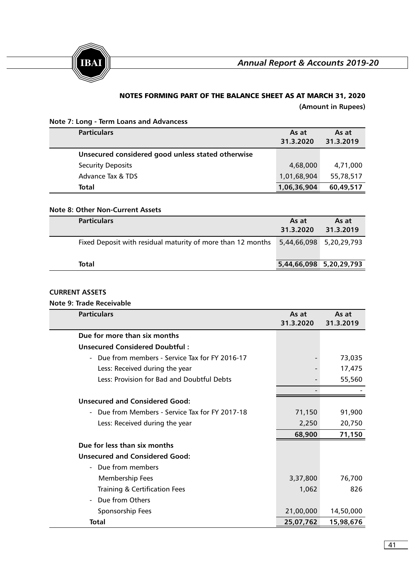



# NOTES FORMING PART OF THE BALANCE SHEET AS AT MARCH 31, 2020

**(Amount in Rupees)**

# **Note 7: Long - Term Loans and Advancess**

| <b>Particulars</b>                                | As at<br>31.3.2020 | As at<br>31.3.2019 |
|---------------------------------------------------|--------------------|--------------------|
| Unsecured considered good unless stated otherwise |                    |                    |
| <b>Security Deposits</b>                          | 4,68,000           | 4,71,000           |
| Advance Tax & TDS                                 | 1,01,68,904        | 55,78,517          |
| Total                                             | 1,06,36,904        | 60,49,517          |

# **Note 8: Other Non-Current Assets**

| <b>Particulars</b>                                          | As at<br>31.3.2020      | As at<br>31.3.2019      |
|-------------------------------------------------------------|-------------------------|-------------------------|
| Fixed Deposit with residual maturity of more than 12 months |                         | 5,44,66,098 5,20,29,793 |
| Total                                                       | 5,44,66,098 5,20,29,793 |                         |

# **CURRENT ASSETS**

# **Note 9: Trade Receivable**

| <b>Particulars</b>                                                        | As at<br>31.3.2020 | As at<br>31.3.2019 |
|---------------------------------------------------------------------------|--------------------|--------------------|
| Due for more than six months                                              |                    |                    |
| Unsecured Considered Doubtful:                                            |                    |                    |
| Due from members - Service Tax for FY 2016-17<br>$\overline{\phantom{0}}$ |                    | 73,035             |
| Less: Received during the year                                            |                    | 17,475             |
| Less: Provision for Bad and Doubtful Debts                                |                    | 55,560             |
|                                                                           |                    |                    |
| <b>Unsecured and Considered Good:</b>                                     |                    |                    |
| - Due from Members - Service Tax for FY 2017-18                           | 71,150             | 91,900             |
| Less: Received during the year                                            | 2,250              | 20,750             |
|                                                                           | 68,900             | 71,150             |
| Due for less than six months                                              |                    |                    |
| <b>Unsecured and Considered Good:</b>                                     |                    |                    |
| - Due from members                                                        |                    |                    |
| Membership Fees                                                           | 3,37,800           | 76,700             |
| <b>Training &amp; Certification Fees</b>                                  | 1,062              | 826                |
| Due from Others<br>$\overline{\phantom{a}}$                               |                    |                    |
| Sponsorship Fees                                                          | 21,00,000          | 14,50,000          |
| Total                                                                     | 25,07,762          | 15,98,676          |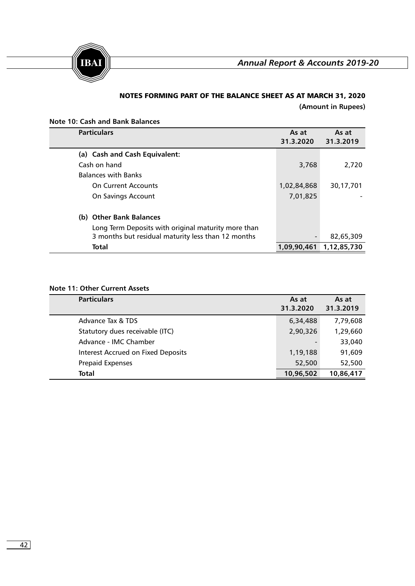

# NOTES FORMING PART OF THE BALANCE SHEET AS AT MARCH 31, 2020

**(Amount in Rupees)**

|  |  |  |  | <b>Note 10: Cash and Bank Balances</b> |
|--|--|--|--|----------------------------------------|
|--|--|--|--|----------------------------------------|

| <b>Particulars</b>                                  | As at<br>31.3.2020       | As at<br>31.3.2019 |
|-----------------------------------------------------|--------------------------|--------------------|
| (a) Cash and Cash Equivalent:                       |                          |                    |
| Cash on hand                                        | 3,768                    | 2,720              |
| <b>Balances with Banks</b>                          |                          |                    |
| <b>On Current Accounts</b>                          | 1,02,84,868              | 30,17,701          |
| On Savings Account                                  | 7,01,825                 |                    |
| (b) Other Bank Balances                             |                          |                    |
| Long Term Deposits with original maturity more than |                          |                    |
| 3 months but residual maturity less than 12 months  | $\overline{\phantom{0}}$ | 82,65,309          |
| Total                                               | 1,09,90,461              | 1,12,85,730        |

# **Note 11: Other Current Assets**

| <b>Particulars</b>                        | As at<br>31.3.2020 | As at<br>31.3.2019 |
|-------------------------------------------|--------------------|--------------------|
| Advance Tax & TDS                         | 6,34,488           | 7,79,608           |
| Statutory dues receivable (ITC)           | 2,90,326           | 1,29,660           |
| Advance - IMC Chamber                     |                    | 33,040             |
| <b>Interest Accrued on Fixed Deposits</b> | 1,19,188           | 91,609             |
| <b>Prepaid Expenses</b>                   | 52,500             | 52,500             |
| <b>Total</b>                              | 10,96,502          | 10,86,417          |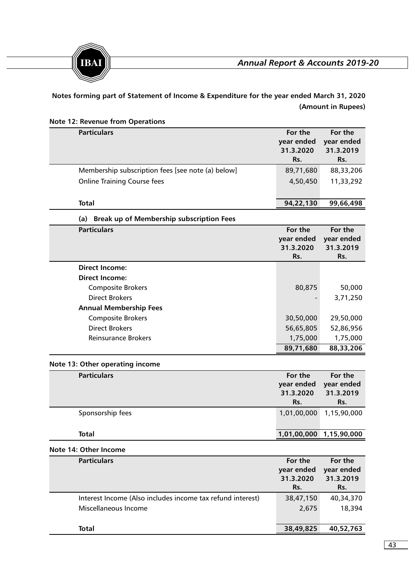



**Notes forming part of Statement of Income & Expenditure for the year ended March 31, 2020 (Amount in Rupees)**

| <b>Note 12: Revenue from Operations</b>                    |                                           |                                           |
|------------------------------------------------------------|-------------------------------------------|-------------------------------------------|
| <b>Particulars</b>                                         | For the<br>year ended<br>31.3.2020<br>Rs. | For the<br>year ended<br>31.3.2019<br>Rs. |
| Membership subscription fees [see note (a) below]          | 89,71,680                                 | 88,33,206                                 |
| <b>Online Training Course fees</b>                         | 4,50,450                                  | 11,33,292                                 |
| <b>Total</b>                                               | 94,22,130                                 | 99,66,498                                 |
| <b>Break up of Membership subscription Fees</b><br>(a)     |                                           |                                           |
| <b>Particulars</b>                                         | For the<br>year ended<br>31.3.2020<br>Rs. | For the<br>year ended<br>31.3.2019<br>Rs. |
| <b>Direct Income:</b>                                      |                                           |                                           |
| <b>Direct Income:</b>                                      |                                           |                                           |
| <b>Composite Brokers</b>                                   | 80,875                                    | 50,000                                    |
| <b>Direct Brokers</b>                                      |                                           | 3,71,250                                  |
| <b>Annual Membership Fees</b>                              |                                           |                                           |
| <b>Composite Brokers</b>                                   | 30,50,000                                 | 29,50,000                                 |
| <b>Direct Brokers</b>                                      | 56,65,805                                 | 52,86,956                                 |
| Reinsurance Brokers                                        | 1,75,000<br>89,71,680                     | 1,75,000<br>88,33,206                     |
| Note 13: Other operating income                            |                                           |                                           |
| <b>Particulars</b>                                         | For the                                   | For the                                   |
|                                                            | year ended<br>31.3.2020<br>Rs.            | year ended<br>31.3.2019<br>Rs.            |
| Sponsorship fees                                           | 1,01,00,000                               | 1,15,90,000                               |
| <b>Total</b>                                               | 1,01,00,000 1,15,90,000                   |                                           |
| Note 14: Other Income                                      |                                           |                                           |
| <b>Particulars</b>                                         | For the<br>year ended<br>31.3.2020<br>Rs. | For the<br>year ended<br>31.3.2019<br>Rs. |
| Interest Income (Also includes income tax refund interest) | 38,47,150                                 | 40,34,370                                 |
| Miscellaneous Income                                       | 2,675                                     | 18,394                                    |
| <b>Total</b>                                               | 38,49,825                                 | 40,52,763                                 |

# $\sqrt{43}$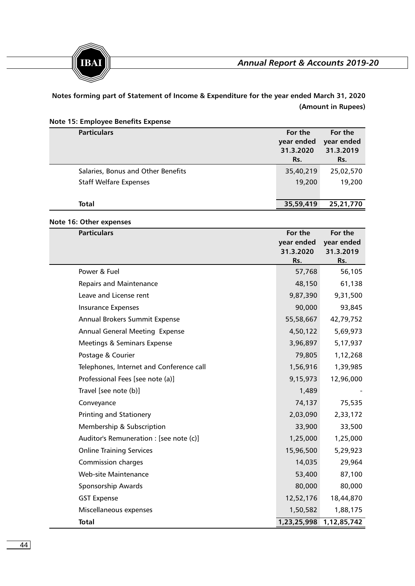



**Notes forming part of Statement of Income & Expenditure for the year ended March 31, 2020 (Amount in Rupees)**

|  |  |  |  |  | Note 15: Employee Benefits Expense |
|--|--|--|--|--|------------------------------------|
|--|--|--|--|--|------------------------------------|

| <b>Particulars</b>                 | For the<br>year ended<br>31.3.2020<br>Rs. | For the<br>year ended<br>31.3.2019<br>Rs. |
|------------------------------------|-------------------------------------------|-------------------------------------------|
| Salaries, Bonus and Other Benefits | 35,40,219                                 | 25,02,570                                 |
| <b>Staff Welfare Expenses</b>      | 19,200                                    | 19,200                                    |
|                                    |                                           |                                           |
| <b>Total</b>                       | 35,59,419                                 | 25,21,770                                 |

# **Note 16: Other expenses**

| <b>Particulars</b>                       | For the<br>year ended | For the<br>year ended |
|------------------------------------------|-----------------------|-----------------------|
|                                          | 31.3.2020             | 31.3.2019             |
| Power & Fuel                             | Rs.<br>57,768         | Rs.<br>56,105         |
|                                          |                       |                       |
| <b>Repairs and Maintenance</b>           | 48,150                | 61,138                |
| Leave and License rent                   | 9,87,390              | 9,31,500              |
| <b>Insurance Expenses</b>                | 90,000                | 93,845                |
| Annual Brokers Summit Expense            | 55,58,667             | 42,79,752             |
| <b>Annual General Meeting Expense</b>    | 4,50,122              | 5,69,973              |
| Meetings & Seminars Expense              | 3,96,897              | 5,17,937              |
| Postage & Courier                        | 79,805                | 1,12,268              |
| Telephones, Internet and Conference call | 1,56,916              | 1,39,985              |
| Professional Fees [see note (a)]         | 9,15,973              | 12,96,000             |
| Travel [see note (b)]                    | 1,489                 |                       |
| Conveyance                               | 74,137                | 75,535                |
| <b>Printing and Stationery</b>           | 2,03,090              | 2,33,172              |
| Membership & Subscription                | 33,900                | 33,500                |
| Auditor's Remuneration : [see note (c)]  | 1,25,000              | 1,25,000              |
| <b>Online Training Services</b>          | 15,96,500             | 5,29,923              |
| <b>Commission charges</b>                | 14,035                | 29,964                |
| <b>Web-site Maintenance</b>              | 53,400                | 87,100                |
| Sponsorship Awards                       | 80,000                | 80,000                |
| <b>GST Expense</b>                       | 12,52,176             | 18,44,870             |
| Miscellaneous expenses                   | 1,50,582              | 1,88,175              |
| <b>Total</b>                             | 1,23,25,998           | 1,12,85,742           |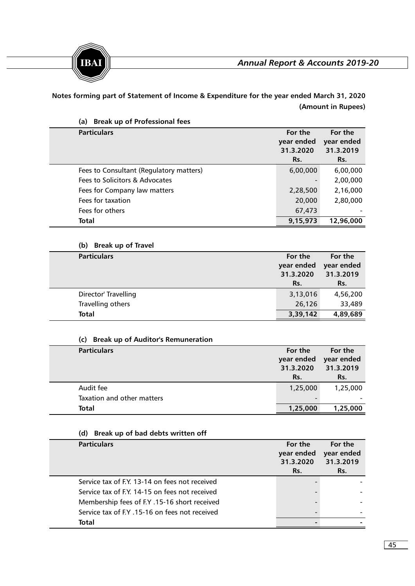



**Notes forming part of Statement of Income & Expenditure for the year ended March 31, 2020 (Amount in Rupees)**

| <b>Break up of Professional fees</b><br>(a) |                                    |                                    |
|---------------------------------------------|------------------------------------|------------------------------------|
| <b>Particulars</b>                          | For the<br>year ended<br>31.3.2020 | For the<br>year ended<br>31.3.2019 |
|                                             | Rs.                                | Rs.                                |
| Fees to Consultant (Regulatory matters)     | 6,00,000                           | 6,00,000                           |
| Fees to Solicitors & Advocates              |                                    | 2,00,000                           |
| Fees for Company law matters                | 2,28,500                           | 2,16,000                           |
| Fees for taxation                           | 20,000                             | 2,80,000                           |
| Fees for others                             | 67,473                             |                                    |
| <b>Total</b>                                | 9,15,973                           | 12,96,000                          |

# **(b) Break up of Travel**

| <b>Particulars</b>   | For the<br>year ended<br>31.3.2020<br>Rs. | For the<br>year ended<br>31.3.2019<br>Rs. |
|----------------------|-------------------------------------------|-------------------------------------------|
| Director' Travelling | 3,13,016                                  | 4,56,200                                  |
| Travelling others    | 26,126                                    | 33,489                                    |
| <b>Total</b>         | 3,39,142                                  | 4,89,689                                  |

# **(c) Break up of Auditor's Remuneration**

| <b>Particulars</b>         | For the                  | For the    |
|----------------------------|--------------------------|------------|
|                            | year ended               | year ended |
|                            | 31.3.2020                | 31.3.2019  |
|                            | Rs.                      | Rs.        |
| Audit fee                  | 1,25,000                 | 1,25,000   |
| Taxation and other matters | $\overline{\phantom{0}}$ |            |
| Total                      | 1,25,000                 | 1,25,000   |

# **(d) Break up of bad debts written off**

| <b>Particulars</b>                             | For the<br>year ended<br>31.3.2020<br>Rs. | For the<br>year ended<br>31.3.2019<br>Rs. |
|------------------------------------------------|-------------------------------------------|-------------------------------------------|
| Service tax of F.Y. 13-14 on fees not received |                                           |                                           |
| Service tax of F.Y. 14-15 on fees not received |                                           |                                           |
| Membership fees of F.Y. 15-16 short received   |                                           |                                           |
| Service tax of F.Y. 15-16 on fees not received |                                           |                                           |
| Total                                          |                                           |                                           |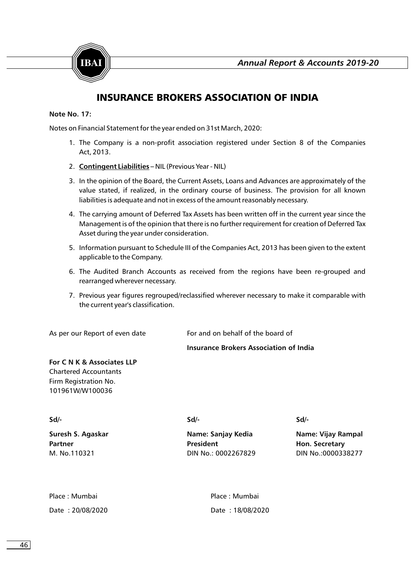

# INSURANCE BROKERS ASSOCIATION OF INDIA

#### **Note No. 17:**

Notes on Financial Statement for the year ended on 31st March, 2020:

- 1. The Company is a non-profit association registered under Section 8 of the Companies Act, 2013.
- 2. **Contingent Liabilities –** NIL (Previous Year NIL)
- 3. In the opinion of the Board, the Current Assets, Loans and Advances are approximately of the value stated, if realized, in the ordinary course of business. The provision for all known liabilities is adequate and not in excess of the amount reasonably necessary.
- 4. The carrying amount of Deferred Tax Assets has been written off in the current year since the Management is of the opinion that there is no further requirement for creation of Deferred Tax Asset during the year under consideration.
- 5. Information pursuant to Schedule III of the Companies Act, 2013 has been given to the extent applicable to the Company.
- 6. The Audited Branch Accounts as received from the regions have been re-grouped and rearranged wherever necessary.
- 7. Previous year figures regrouped/reclassified wherever necessary to make it comparable with the current year's classification.

As per our Report of even date For and on behalf of the board of

#### **Insurance Brokers Association of India**

# **For C N K & Associates LLP** Chartered Accountants Firm Registration No.

101961W/W100036

**Sd/- Sd/- Sd/-**

**Suresh S. Agaskar Name: Sanjay Kedia Name: Vijay Rampal Partner President Hon. Secretary** M. No.110321 DIN No.: 0002267829 DIN No.:0000338277

| Place : Mumbai   | Place : Mumbai   |
|------------------|------------------|
| Date: 20/08/2020 | Date: 18/08/2020 |